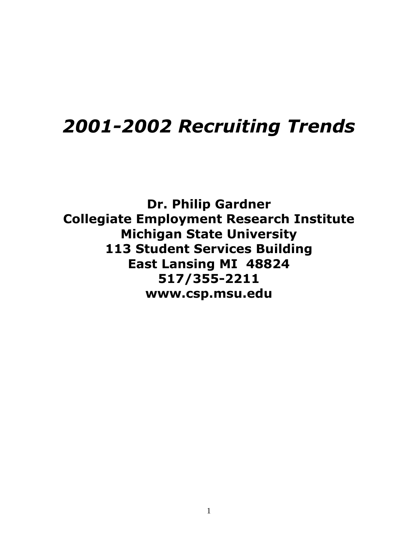# *2001-2002 Recruiting Trends*

**Dr. Philip Gardner Collegiate Employment Research Institute Michigan State University 113 Student Services Building East Lansing MI 48824 517/355-2211 www.csp.msu.edu**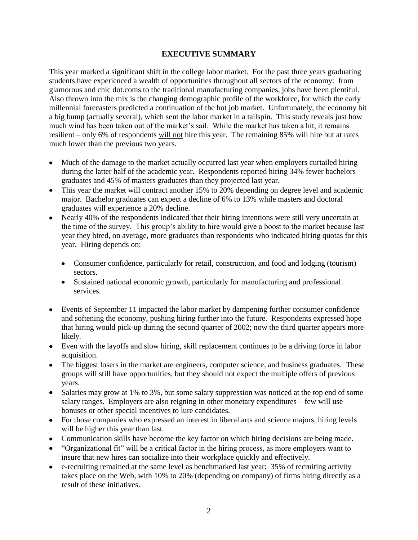### **EXECUTIVE SUMMARY**

This year marked a significant shift in the college labor market. For the past three years graduating students have experienced a wealth of opportunities throughout all sectors of the economy: from glamorous and chic dot.coms to the traditional manufacturing companies, jobs have been plentiful. Also thrown into the mix is the changing demographic profile of the workforce, for which the early millennial forecasters predicted a continuation of the hot job market. Unfortunately, the economy hit a big bump (actually several), which sent the labor market in a tailspin. This study reveals just how much wind has been taken out of the market's sail. While the market has taken a hit, it remains resilient – only 6% of respondents will not hire this year. The remaining 85% will hire but at rates much lower than the previous two years.

- Much of the damage to the market actually occurred last year when employers curtailed hiring during the latter half of the academic year. Respondents reported hiring 34% fewer bachelors graduates and 45% of masters graduates than they projected last year.
- This year the market will contract another 15% to 20% depending on degree level and academic major. Bachelor graduates can expect a decline of 6% to 13% while masters and doctoral graduates will experience a 20% decline.
- Nearly 40% of the respondents indicated that their hiring intentions were still very uncertain at the time of the survey. This group's ability to hire would give a boost to the market because last year they hired, on average, more graduates than respondents who indicated hiring quotas for this year. Hiring depends on:
	- Consumer confidence, particularly for retail, construction, and food and lodging (tourism) sectors.
	- Sustained national economic growth, particularly for manufacturing and professional services.
- Events of September 11 impacted the labor market by dampening further consumer confidence and softening the economy, pushing hiring further into the future. Respondents expressed hope that hiring would pick-up during the second quarter of 2002; now the third quarter appears more likely.
- Even with the layoffs and slow hiring, skill replacement continues to be a driving force in labor acquisition.
- The biggest losers in the market are engineers, computer science, and business graduates. These groups will still have opportunities, but they should not expect the multiple offers of previous years.
- Salaries may grow at 1% to 3%, but some salary suppression was noticed at the top end of some salary ranges. Employers are also reigning in other monetary expenditures – few will use bonuses or other special incentives to lure candidates.
- For those companies who expressed an interest in liberal arts and science majors, hiring levels will be higher this year than last.
- Communication skills have become the key factor on which hiring decisions are being made.
- "Organizational fit" will be a critical factor in the hiring process, as more employers want to insure that new hires can socialize into their workplace quickly and effectively.
- e-recruiting remained at the same level as benchmarked last year: 35% of recruiting activity takes place on the Web, with 10% to 20% (depending on company) of firms hiring directly as a result of these initiatives.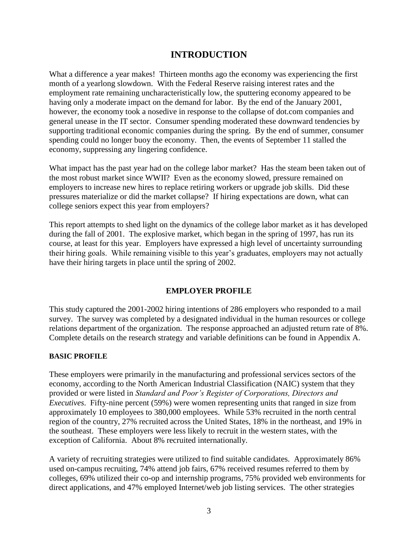# **INTRODUCTION**

What a difference a year makes! Thirteen months ago the economy was experiencing the first month of a yearlong slowdown. With the Federal Reserve raising interest rates and the employment rate remaining uncharacteristically low, the sputtering economy appeared to be having only a moderate impact on the demand for labor. By the end of the January 2001, however, the economy took a nosedive in response to the collapse of dot.com companies and general unease in the IT sector. Consumer spending moderated these downward tendencies by supporting traditional economic companies during the spring. By the end of summer, consumer spending could no longer buoy the economy. Then, the events of September 11 stalled the economy, suppressing any lingering confidence.

What impact has the past year had on the college labor market? Has the steam been taken out of the most robust market since WWII? Even as the economy slowed, pressure remained on employers to increase new hires to replace retiring workers or upgrade job skills. Did these pressures materialize or did the market collapse? If hiring expectations are down, what can college seniors expect this year from employers?

This report attempts to shed light on the dynamics of the college labor market as it has developed during the fall of 2001. The explosive market, which began in the spring of 1997, has run its course, at least for this year. Employers have expressed a high level of uncertainty surrounding their hiring goals. While remaining visible to this year's graduates, employers may not actually have their hiring targets in place until the spring of 2002.

# **EMPLOYER PROFILE**

This study captured the 2001-2002 hiring intentions of 286 employers who responded to a mail survey. The survey was completed by a designated individual in the human resources or college relations department of the organization. The response approached an adjusted return rate of 8%. Complete details on the research strategy and variable definitions can be found in Appendix A.

#### **BASIC PROFILE**

These employers were primarily in the manufacturing and professional services sectors of the economy, according to the North American Industrial Classification (NAIC) system that they provided or were listed in *Standard and Poor's Register of Corporations, Directors and Executives*. Fifty-nine percent (59%) were women representing units that ranged in size from approximately 10 employees to 380,000 employees. While 53% recruited in the north central region of the country, 27% recruited across the United States, 18% in the northeast, and 19% in the southeast. These employers were less likely to recruit in the western states, with the exception of California. About 8% recruited internationally.

A variety of recruiting strategies were utilized to find suitable candidates. Approximately 86% used on-campus recruiting, 74% attend job fairs, 67% received resumes referred to them by colleges, 69% utilized their co-op and internship programs, 75% provided web environments for direct applications, and 47% employed Internet/web job listing services. The other strategies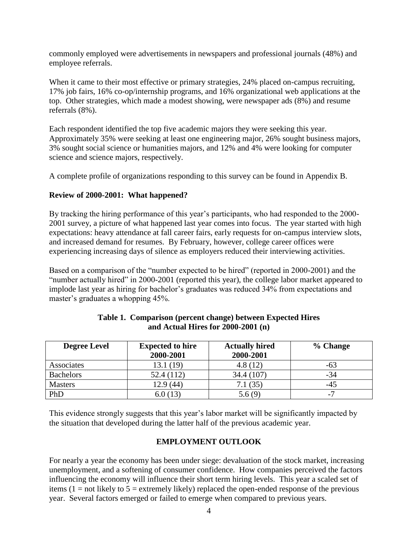commonly employed were advertisements in newspapers and professional journals (48%) and employee referrals.

When it came to their most effective or primary strategies, 24% placed on-campus recruiting, 17% job fairs, 16% co-op/internship programs, and 16% organizational web applications at the top. Other strategies, which made a modest showing, were newspaper ads (8%) and resume referrals (8%).

Each respondent identified the top five academic majors they were seeking this year. Approximately 35% were seeking at least one engineering major, 26% sought business majors, 3% sought social science or humanities majors, and 12% and 4% were looking for computer science and science majors, respectively.

A complete profile of organizations responding to this survey can be found in Appendix B.

# **Review of 2000-2001: What happened?**

By tracking the hiring performance of this year's participants, who had responded to the 2000- 2001 survey, a picture of what happened last year comes into focus. The year started with high expectations: heavy attendance at fall career fairs, early requests for on-campus interview slots, and increased demand for resumes. By February, however, college career offices were experiencing increasing days of silence as employers reduced their interviewing activities.

Based on a comparison of the "number expected to be hired" (reported in 2000-2001) and the "number actually hired" in 2000-2001 (reported this year), the college labor market appeared to implode last year as hiring for bachelor's graduates was reduced 34% from expectations and master's graduates a whopping 45%.

| <b>Degree Level</b> | <b>Expected to hire</b><br>2000-2001 | <b>Actually hired</b><br>2000-2001 | % Change                 |
|---------------------|--------------------------------------|------------------------------------|--------------------------|
| Associates          | 13.1(19)                             | 4.8(12)                            | -63                      |
| <b>Bachelors</b>    | 52.4 (112)                           | 34.4 (107)                         | $-34$                    |
| <b>Masters</b>      | 12.9 (44)                            | 7.1(35)                            | -45                      |
| PhD                 | 6.0(13)                              | 5.6(9)                             | $\overline{\phantom{0}}$ |

### **Table 1. Comparison (percent change) between Expected Hires and Actual Hires for 2000-2001 (n)**

This evidence strongly suggests that this year's labor market will be significantly impacted by the situation that developed during the latter half of the previous academic year.

#### **EMPLOYMENT OUTLOOK**

For nearly a year the economy has been under siege: devaluation of the stock market, increasing unemployment, and a softening of consumer confidence. How companies perceived the factors influencing the economy will influence their short term hiring levels. This year a scaled set of items  $(1 = not likely to 5 = extremely likely) replaced the open-ended response of the previous$ year. Several factors emerged or failed to emerge when compared to previous years.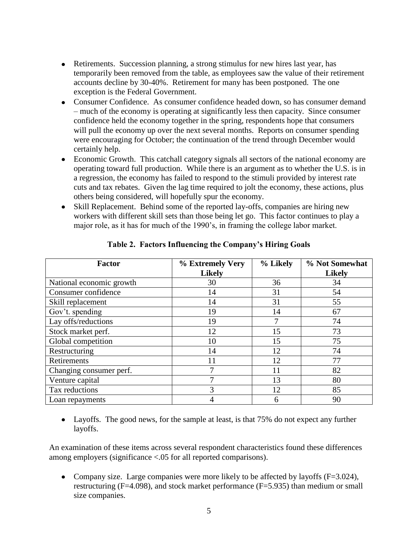- Retirements. Succession planning, a strong stimulus for new hires last year, has temporarily been removed from the table, as employees saw the value of their retirement accounts decline by 30-40%. Retirement for many has been postponed. The one exception is the Federal Government.
- Consumer Confidence. As consumer confidence headed down, so has consumer demand – much of the economy is operating at significantly less then capacity. Since consumer confidence held the economy together in the spring, respondents hope that consumers will pull the economy up over the next several months. Reports on consumer spending were encouraging for October; the continuation of the trend through December would certainly help.
- Economic Growth. This catchall category signals all sectors of the national economy are operating toward full production. While there is an argument as to whether the U.S. is in a regression, the economy has failed to respond to the stimuli provided by interest rate cuts and tax rebates. Given the lag time required to jolt the economy, these actions, plus others being considered, will hopefully spur the economy.
- Skill Replacement. Behind some of the reported lay-offs, companies are hiring new workers with different skill sets than those being let go. This factor continues to play a major role, as it has for much of the 1990's, in framing the college labor market.

| <b>Factor</b>            | % Extremely Very<br><b>Likely</b> | % Likely | % Not Somewhat<br><b>Likely</b> |
|--------------------------|-----------------------------------|----------|---------------------------------|
| National economic growth | 30                                | 36       | 34                              |
| Consumer confidence      | 14                                | 31       | 54                              |
| Skill replacement        | 14                                | 31       | 55                              |
| Gov't. spending          | 19                                | 14       | 67                              |
| Lay offs/reductions      | 19                                |          | 74                              |
| Stock market perf.       | 12                                | 15       | 73                              |
| Global competition       | 10                                | 15       | 75                              |
| Restructuring            | 14                                | 12       | 74                              |
| Retirements              | 11                                | 12       | 77                              |
| Changing consumer perf.  |                                   |          | 82                              |
| Venture capital          | 7                                 | 13       | 80                              |
| Tax reductions           | 3                                 | 12       | 85                              |
| Loan repayments          | 4                                 | 6        | 90                              |

**Table 2. Factors Influencing the Company's Hiring Goals**

• Layoffs. The good news, for the sample at least, is that 75% do not expect any further layoffs.

An examination of these items across several respondent characteristics found these differences among employers (significance <.05 for all reported comparisons).

• Company size. Large companies were more likely to be affected by layoffs  $(F=3.024)$ , restructuring ( $F=4.098$ ), and stock market performance ( $F=5.935$ ) than medium or small size companies.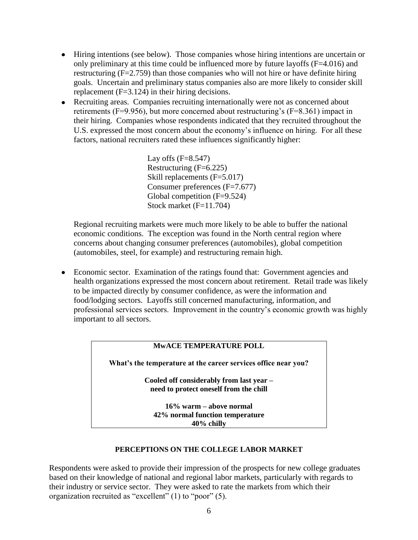- Hiring intentions (see below). Those companies whose hiring intentions are uncertain or only preliminary at this time could be influenced more by future layoffs (F=4.016) and restructuring (F=2.759) than those companies who will not hire or have definite hiring goals. Uncertain and preliminary status companies also are more likely to consider skill replacement (F=3.124) in their hiring decisions.
- Recruiting areas. Companies recruiting internationally were not as concerned about retirements (F=9.956), but more concerned about restructuring's (F=8.361) impact in their hiring. Companies whose respondents indicated that they recruited throughout the U.S. expressed the most concern about the economy's influence on hiring. For all these factors, national recruiters rated these influences significantly higher:

Lay offs  $(F=8.547)$ Restructuring  $(F=6.225)$ Skill replacements (F=5.017) Consumer preferences (F=7.677) Global competition (F=9.524) Stock market (F=11.704)

Regional recruiting markets were much more likely to be able to buffer the national economic conditions. The exception was found in the North central region where concerns about changing consumer preferences (automobiles), global competition (automobiles, steel, for example) and restructuring remain high.

Economic sector. Examination of the ratings found that: Government agencies and health organizations expressed the most concern about retirement. Retail trade was likely to be impacted directly by consumer confidence, as were the information and food/lodging sectors. Layoffs still concerned manufacturing, information, and professional services sectors. Improvement in the country's economic growth was highly important to all sectors.

## **MwACE TEMPERATURE POLL**

**What's the temperature at the career services office near you?**

**Cooled off considerably from last year – need to protect oneself from the chill**

**16% warm – above normal 42% normal function temperature 40% chilly**

#### **PERCEPTIONS ON THE COLLEGE LABOR MARKET**

Respondents were asked to provide their impression of the prospects for new college graduates based on their knowledge of national and regional labor markets, particularly with regards to their industry or service sector. They were asked to rate the markets from which their organization recruited as "excellent" (1) to "poor" (5).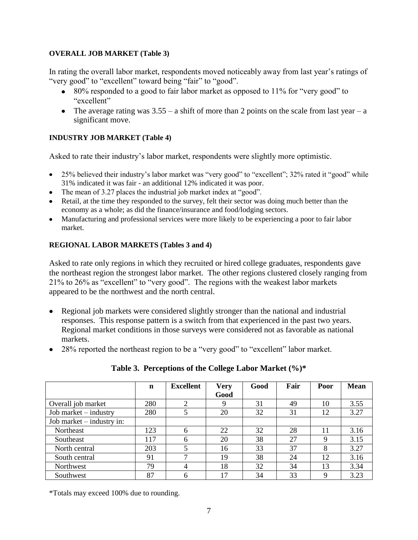#### **OVERALL JOB MARKET (Table 3)**

In rating the overall labor market, respondents moved noticeably away from last year's ratings of "very good" to "excellent" toward being "fair" to "good".

- 80% responded to a good to fair labor market as opposed to 11% for "very good" to "excellent"
- The average rating was  $3.55 a$  shift of more than 2 points on the scale from last year a significant move.

#### **INDUSTRY JOB MARKET (Table 4)**

Asked to rate their industry's labor market, respondents were slightly more optimistic.

- 25% believed their industry's labor market was "very good" to "excellent"; 32% rated it "good" while 31% indicated it was fair - an additional 12% indicated it was poor.
- The mean of 3.27 places the industrial job market index at "good".
- Retail, at the time they responded to the survey, felt their sector was doing much better than the economy as a whole; as did the finance/insurance and food/lodging sectors.
- Manufacturing and professional services were more likely to be experiencing a poor to fair labor market.

#### **REGIONAL LABOR MARKETS (Tables 3 and 4)**

Asked to rate only regions in which they recruited or hired college graduates, respondents gave the northeast region the strongest labor market. The other regions clustered closely ranging from 21% to 26% as "excellent" to "very good". The regions with the weakest labor markets appeared to be the northwest and the north central.

- Regional job markets were considered slightly stronger than the national and industrial responses. This response pattern is a switch from that experienced in the past two years. Regional market conditions in those surveys were considered not as favorable as national markets.
- 28% reported the northeast region to be a "very good" to "excellent" labor market.

|                           | $\mathbf n$ | <b>Excellent</b> | <b>Very</b> | Good | Fair | Poor | <b>Mean</b> |
|---------------------------|-------------|------------------|-------------|------|------|------|-------------|
|                           |             |                  | Good        |      |      |      |             |
| Overall job market        | 280         | 2                | 9           | 31   | 49   | 10   | 3.55        |
| Job market – industry     | 280         |                  | 20          | 32   | 31   | 12   | 3.27        |
| Job market – industry in: |             |                  |             |      |      |      |             |
| Northeast                 | 123         | 6                | 22          | 32   | 28   | 11   | 3.16        |
| Southeast                 | 117         | 6                | 20          | 38   | 27   | 9    | 3.15        |
| North central             | 203         | 5                | 16          | 33   | 37   | 8    | 3.27        |
| South central             | 91          | ⇁                | 19          | 38   | 24   | 12   | 3.16        |
| Northwest                 | 79          | 4                | 18          | 32   | 34   | 13   | 3.34        |
| Southwest                 | 87          | 6                | 17          | 34   | 33   | 9    | 3.23        |

# **Table 3. Perceptions of the College Labor Market (%)\***

\*Totals may exceed 100% due to rounding.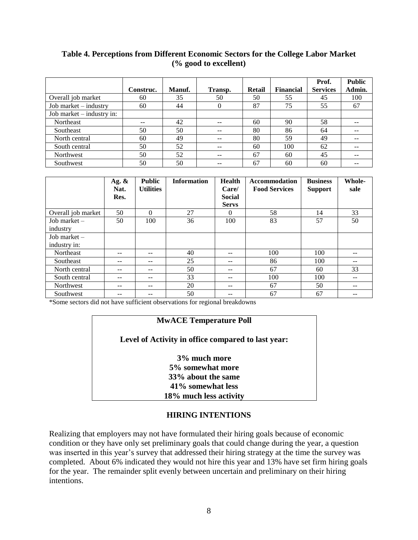# **Table 4. Perceptions from Different Economic Sectors for the College Labor Market (% good to excellent)**

|                             |           |               |          |        |                  | Prof.           | <b>Public</b> |
|-----------------------------|-----------|---------------|----------|--------|------------------|-----------------|---------------|
|                             | Construc. | <b>Manuf.</b> | Transp.  | Retail | <b>Financial</b> | <b>Services</b> | Admin.        |
| Overall job market          | 60        | 35            | 50       | 50     | 55               | 45              | 100           |
| Job market – industry       | 60        | 44            | $\Omega$ | 87     | 75               | 55              | 67            |
| Job market $-$ industry in: |           |               |          |        |                  |                 |               |
| Northeast                   | --        | 42            | --       | 60     | 90               | 58              |               |
| Southeast                   | 50        | 50            |          | 80     | 86               | 64              |               |
| North central               | 60        | 49            | $- -$    | 80     | 59               | 49              |               |
| South central               | 50        | 52            | --       | 60     | 100              | 62              |               |
| Northwest                   | 50        | 52            | $- -$    | 67     | 60               | 45              |               |
| Southwest                   | 50        | 50            |          | 67     | 60               | 60              |               |

|                                | Ag. $\&$<br>Nat.<br>Res. | <b>Public</b><br><b>Utilities</b> | <b>Information</b> | Health<br>Care/<br><b>Social</b><br><b>Servs</b> | <b>Accommodation</b><br><b>Food Services</b> | <b>Business</b><br><b>Support</b> | Whole-<br>sale |
|--------------------------------|--------------------------|-----------------------------------|--------------------|--------------------------------------------------|----------------------------------------------|-----------------------------------|----------------|
| Overall job market             | 50                       | $\Omega$                          | 27                 | $\Omega$                                         | 58                                           | 14                                | 33             |
| Job market $-$<br>industry     | 50                       | 100                               | 36                 | 100                                              | 83                                           | 57                                | 50             |
| Job market $-$<br>industry in: |                          |                                   |                    |                                                  |                                              |                                   |                |
| Northeast                      | --                       | $- -$                             | 40                 | $- -$                                            | 100                                          | 100                               | --             |
| <b>Southeast</b>               | --                       | $- -$                             | 25                 | $- -$                                            | 86                                           | 100                               | --             |
| North central                  | --                       | --                                | 50                 | $- -$                                            | 67                                           | 60                                | 33             |
| South central                  | --                       | $- -$                             | 33                 | $- -$                                            | 100                                          | 100                               | --             |
| Northwest                      | --                       | --                                | 20                 | $- -$                                            | 67                                           | 50                                | --             |
| Southwest                      | --                       | --                                | 50                 | --                                               | 67                                           | 67                                |                |

\*Some sectors did not have sufficient observations for regional breakdowns

# **MwACE Temperature Poll**

#### **Level of Activity in office compared to last year:**

**3% much more 5% somewhat more 33% about the same 41% somewhat less 18% much less activity**

#### **HIRING INTENTIONS**

Realizing that employers may not have formulated their hiring goals because of economic condition or they have only set preliminary goals that could change during the year, a question was inserted in this year's survey that addressed their hiring strategy at the time the survey was completed. About 6% indicated they would not hire this year and 13% have set firm hiring goals for the year. The remainder split evenly between uncertain and preliminary on their hiring intentions.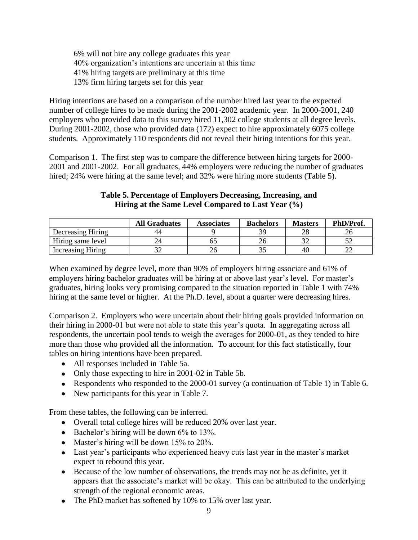6% will not hire any college graduates this year 40% organization's intentions are uncertain at this time 41% hiring targets are preliminary at this time 13% firm hiring targets set for this year

Hiring intentions are based on a comparison of the number hired last year to the expected number of college hires to be made during the 2001-2002 academic year. In 2000-2001, 240 employers who provided data to this survey hired 11,302 college students at all degree levels. During 2001-2002, those who provided data (172) expect to hire approximately 6075 college students. Approximately 110 respondents did not reveal their hiring intentions for this year.

Comparison 1. The first step was to compare the difference between hiring targets for 2000- 2001 and 2001-2002. For all graduates, 44% employers were reducing the number of graduates hired; 24% were hiring at the same level; and 32% were hiring more students (Table 5).

|                   | <b>All Graduates</b> | <b>Associates</b> | <b>Bachelors</b> | <b>Masters</b> | PhD/Prof. |
|-------------------|----------------------|-------------------|------------------|----------------|-----------|
| Decreasing Hiring | 44                   |                   | ٦q               | ററ             |           |
| Hiring same level |                      |                   |                  |                |           |
| Increasing Hiring |                      |                   |                  | 40             |           |

# **Table 5. Percentage of Employers Decreasing, Increasing, and Hiring at the Same Level Compared to Last Year (%)**

When examined by degree level, more than 90% of employers hiring associate and 61% of employers hiring bachelor graduates will be hiring at or above last year's level. For master's graduates, hiring looks very promising compared to the situation reported in Table 1 with 74% hiring at the same level or higher. At the Ph.D. level, about a quarter were decreasing hires.

Comparison 2. Employers who were uncertain about their hiring goals provided information on their hiring in 2000-01 but were not able to state this year's quota. In aggregating across all respondents, the uncertain pool tends to weigh the averages for 2000-01, as they tended to hire more than those who provided all the information. To account for this fact statistically, four tables on hiring intentions have been prepared.

- All responses included in Table 5a.
- Only those expecting to hire in 2001-02 in Table 5b.
- Respondents who responded to the 2000-01 survey (a continuation of Table 1) in Table 6.
- New participants for this year in Table 7.

From these tables, the following can be inferred.

- Overall total college hires will be reduced 20% over last year.
- $\bullet$  Bachelor's hiring will be down 6% to 13%.
- Master's hiring will be down 15% to 20%.
- Last year's participants who experienced heavy cuts last year in the master's market expect to rebound this year.
- Because of the low number of observations, the trends may not be as definite, yet it appears that the associate's market will be okay. This can be attributed to the underlying strength of the regional economic areas.
- The PhD market has softened by 10% to 15% over last year.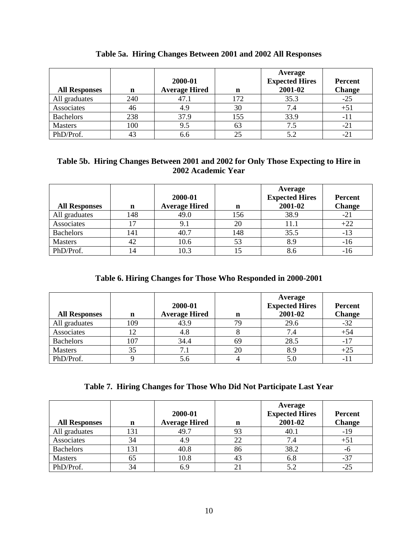| <b>All Responses</b> | n   | 2000-01<br><b>Average Hired</b> | n   | Average<br><b>Expected Hires</b><br>2001-02 | <b>Percent</b><br><b>Change</b> |
|----------------------|-----|---------------------------------|-----|---------------------------------------------|---------------------------------|
| All graduates        | 240 | 47.1                            | 172 | 35.3                                        | $-25$                           |
| Associates           | 46  | 4.9                             | 30  | 7.4                                         | $+51$                           |
| <b>Bachelors</b>     | 238 | 37.9                            | 155 | 33.9                                        | - 1                             |
| <b>Masters</b>       | 100 | 9.5                             | 63  | 7.5                                         | $-21$                           |
| PhD/Prof.            |     |                                 |     | 5.2                                         |                                 |

|  |  |  |  |  |  |  |  | Table 5a. Hiring Changes Between 2001 and 2002 All Responses |
|--|--|--|--|--|--|--|--|--------------------------------------------------------------|
|--|--|--|--|--|--|--|--|--------------------------------------------------------------|

# **Table 5b. Hiring Changes Between 2001 and 2002 for Only Those Expecting to Hire in 2002 Academic Year**

| <b>All Responses</b> | n   | 2000-01<br><b>Average Hired</b> | n   | Average<br><b>Expected Hires</b><br>2001-02 | <b>Percent</b><br><b>Change</b> |
|----------------------|-----|---------------------------------|-----|---------------------------------------------|---------------------------------|
| All graduates        | 148 | 49.0                            | 156 | 38.9                                        | $-21$                           |
| Associates           | 7   |                                 | 20  | 11.1                                        | $+22$                           |
| Bachelors            | 141 | 40.7                            | 148 | 35.5                                        | -13                             |
| <b>Masters</b>       | 42  | 10.6                            | 53  | 8.9                                         | $-16$                           |
| PhD/Prof.            | 14  | 10.3                            |     | 8.6                                         | -10                             |

# **Table 6. Hiring Changes for Those Who Responded in 2000-2001**

| <b>All Responses</b> | n   | 2000-01<br><b>Average Hired</b> | n  | Average<br><b>Expected Hires</b><br>2001-02 | <b>Percent</b><br><b>Change</b> |
|----------------------|-----|---------------------------------|----|---------------------------------------------|---------------------------------|
| All graduates        | 109 | 43.9                            | 79 | 29.6                                        | $-32$                           |
| Associates           |     | 4.8                             |    | 7.4                                         | $+54$                           |
| <b>Bachelors</b>     | 07  | 34.4                            | 69 | 28.5                                        | $-17$                           |
| <b>Masters</b>       | 35  |                                 | 20 | 8.9                                         |                                 |
| PhD/Prof.            |     | 5.6                             |    | 5.0                                         |                                 |

|  | Table 7. Hiring Changes for Those Who Did Not Participate Last Year |  |  |  |
|--|---------------------------------------------------------------------|--|--|--|
|  |                                                                     |  |  |  |

| <b>All Responses</b> | $\mathbf n$ | 2000-01<br><b>Average Hired</b> | n  | Average<br><b>Expected Hires</b><br>2001-02 | <b>Percent</b><br><b>Change</b> |
|----------------------|-------------|---------------------------------|----|---------------------------------------------|---------------------------------|
| All graduates        | 131         | 49.7                            | 93 | 40.1                                        | $-19$                           |
| Associates           | 34          | 4.9                             | 22 | 7.4                                         | $+51$                           |
| Bachelors            | 131         | 40.8                            | 86 | 38.2                                        | -6                              |
| <b>Masters</b>       | 65          | 10.8                            | 43 | 6.8                                         | $-37$                           |
| PhD/Prof.            | 34          |                                 |    | 5.2                                         | $-25$                           |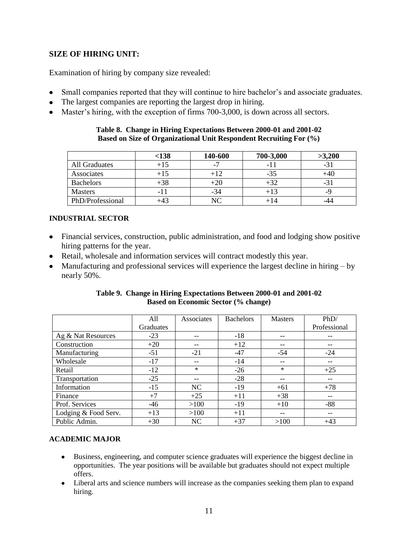# **SIZE OF HIRING UNIT:**

Examination of hiring by company size revealed:

- Small companies reported that they will continue to hire bachelor's and associate graduates.  $\bullet$
- The largest companies are reporting the largest drop in hiring.
- Master's hiring, with the exception of firms 700-3,000, is down across all sectors.

#### **Table 8. Change in Hiring Expectations Between 2000-01 and 2001-02 Based on Size of Organizational Unit Respondent Recruiting For (%)**

|                  | < 138 | 140-600                  | 700-3,000 | >3,200         |
|------------------|-------|--------------------------|-----------|----------------|
| All Graduates    | $+15$ | $\overline{\phantom{0}}$ | - 1       | -1             |
| Associates       | $+15$ | $+12$                    | -35       |                |
| <b>Bachelors</b> | $+38$ | $+20$                    |           | - ٦            |
| <b>Masters</b>   | -11   | $-34$                    |           | $\overline{C}$ |
| PhD/Professional |       | NC                       | +14       |                |

#### **INDUSTRIAL SECTOR**

- Financial services, construction, public administration, and food and lodging show positive hiring patterns for the year.
- Retail, wholesale and information services will contract modestly this year.
- Manufacturing and professional services will experience the largest decline in hiring by nearly 50%.

| Table 9. Change in Hiring Expectations Between 2000-01 and 2001-02 |
|--------------------------------------------------------------------|
| <b>Based on Economic Sector (% change)</b>                         |

|                      | All              | Associates | <b>Bachelors</b> | <b>Masters</b> | PhD/         |
|----------------------|------------------|------------|------------------|----------------|--------------|
|                      | <b>Graduates</b> |            |                  |                | Professional |
| Ag & Nat Resources   | $-23$            | --         | $-18$            |                |              |
| Construction         | $+20$            |            | $+12$            |                |              |
| Manufacturing        | $-51$            | $-21$      | $-47$            | $-54$          | $-24$        |
| Wholesale            | $-17$            | --         | $-14$            | $- -$          | $-$          |
| Retail               | $-12$            | $\ast$     | $-26$            | $\ast$         | $+25$        |
| Transportation       | $-25$            | $- -$      | $-28$            | $ -$           | $- -$        |
| Information          | $-15$            | NC         | $-19$            | $+61$          | $+78$        |
| Finance              | $+7$             | $+25$      | $+11$            | $+38$          | $- -$        |
| Prof. Services       | $-46$            | >100       | $-19$            | $+10$          | $-88$        |
| Lodging & Food Serv. | $+13$            | >100       | $+11$            | $ -$           | --           |
| Public Admin.        | $+30$            | NC         | $+37$            | >100           | $+43$        |

#### **ACADEMIC MAJOR**

- $\bullet$ Business, engineering, and computer science graduates will experience the biggest decline in opportunities. The year positions will be available but graduates should not expect multiple offers.
- Liberal arts and science numbers will increase as the companies seeking them plan to expand hiring.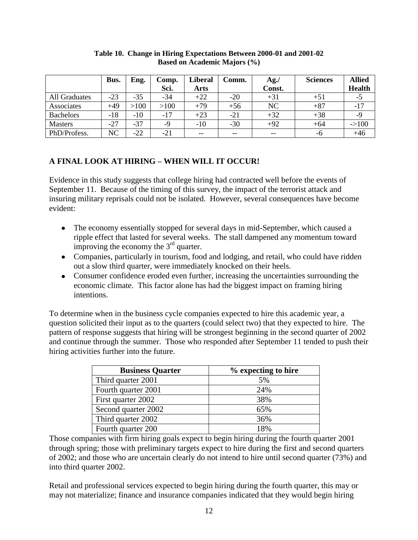|                  | Bus.  | Eng.  | Comp. | <b>Liberal</b> | Comm. | Ag.'   | <b>Sciences</b> | <b>Allied</b> |
|------------------|-------|-------|-------|----------------|-------|--------|-----------------|---------------|
|                  |       |       | Sci.  | <b>Arts</b>    |       | Const. |                 | <b>Health</b> |
| All Graduates    | $-23$ | -35   | $-34$ | $+22$          | $-20$ | $+31$  | $+51$           | -5            |
| Associates       | $+49$ | >100  | >100  | $+79$          | $+56$ | NC     | $+87$           | $-17$         |
| <b>Bachelors</b> | $-18$ | $-10$ | $-17$ | $+23$          | $-21$ | $+32$  | $+38$           | -9            |
| <b>Masters</b>   | $-27$ | $-37$ | -9    | $-10$          | $-30$ | $+92$  | $+64$           | $->100$       |
| PhD/Profess.     | NC    | -22   | $-21$ | $- -$          | $- -$ | $- -$  | -6              | $+46$         |

#### **Table 10. Change in Hiring Expectations Between 2000-01 and 2001-02 Based on Academic Majors (%)**

# **A FINAL LOOK AT HIRING – WHEN WILL IT OCCUR!**

Evidence in this study suggests that college hiring had contracted well before the events of September 11. Because of the timing of this survey, the impact of the terrorist attack and insuring military reprisals could not be isolated. However, several consequences have become evident:

- The economy essentially stopped for several days in mid-September, which caused a ripple effect that lasted for several weeks. The stall dampened any momentum toward improving the economy the  $3<sup>rd</sup>$  quarter.
- Companies, particularly in tourism, food and lodging, and retail, who could have ridden out a slow third quarter, were immediately knocked on their heels.
- Consumer confidence eroded even further, increasing the uncertainties surrounding the economic climate. This factor alone has had the biggest impact on framing hiring intentions.

To determine when in the business cycle companies expected to hire this academic year, a question solicited their input as to the quarters (could select two) that they expected to hire. The pattern of response suggests that hiring will be strongest beginning in the second quarter of 2002 and continue through the summer. Those who responded after September 11 tended to push their hiring activities further into the future.

| <b>Business Quarter</b> | % expecting to hire |
|-------------------------|---------------------|
| Third quarter 2001      | 5%                  |
| Fourth quarter 2001     | 24%                 |
| First quarter 2002      | 38%                 |
| Second quarter 2002     | 65%                 |
| Third quarter 2002      | 36%                 |
| Fourth quarter 200      | 18%                 |

Those companies with firm hiring goals expect to begin hiring during the fourth quarter 2001 through spring; those with preliminary targets expect to hire during the first and second quarters of 2002; and those who are uncertain clearly do not intend to hire until second quarter (73%) and into third quarter 2002.

Retail and professional services expected to begin hiring during the fourth quarter, this may or may not materialize; finance and insurance companies indicated that they would begin hiring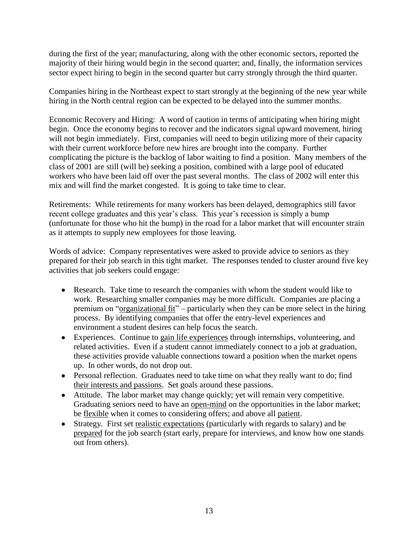during the first of the year; manufacturing, along with the other economic sectors, reported the majority of their hiring would begin in the second quarter; and, finally, the information services sector expect hiring to begin in the second quarter but carry strongly through the third quarter.

Companies hiring in the Northeast expect to start strongly at the beginning of the new year while hiring in the North central region can be expected to be delayed into the summer months.

Economic Recovery and Hiring: A word of caution in terms of anticipating when hiring might begin. Once the economy begins to recover and the indicators signal upward movement, hiring will not begin immediately. First, companies will need to begin utilizing more of their capacity with their current workforce before new hires are brought into the company. Further complicating the picture is the backlog of labor waiting to find a position. Many members of the class of 2001 are still (will be) seeking a position, combined with a large pool of educated workers who have been laid off over the past several months. The class of 2002 will enter this mix and will find the market congested. It is going to take time to clear.

Retirements: While retirements for many workers has been delayed, demographics still favor recent college graduates and this year's class. This year's recession is simply a bump (unfortunate for those who hit the bump) in the road for a labor market that will encounter strain as it attempts to supply new employees for those leaving.

Words of advice: Company representatives were asked to provide advice to seniors as they prepared for their job search in this tight market. The responses tended to cluster around five key activities that job seekers could engage:

- Research. Take time to research the companies with whom the student would like to work. Researching smaller companies may be more difficult. Companies are placing a premium on "organizational fit" – particularly when they can be more select in the hiring process. By identifying companies that offer the entry-level experiences and environment a student desires can help focus the search.
- Experiences. Continue to gain life experiences through internships, volunteering, and related activities. Even if a student cannot immediately connect to a job at graduation, these activities provide valuable connections toward a position when the market opens up. In other words, do not drop out.
- Personal reflection. Graduates need to take time on what they really want to do; find their interests and passions. Set goals around these passions.
- Attitude. The labor market may change quickly; yet will remain very competitive. Graduating seniors need to have an open-mind on the opportunities in the labor market; be flexible when it comes to considering offers; and above all patient.
- Strategy. First set realistic expectations (particularly with regards to salary) and be  $\bullet$ prepared for the job search (start early, prepare for interviews, and know how one stands out from others).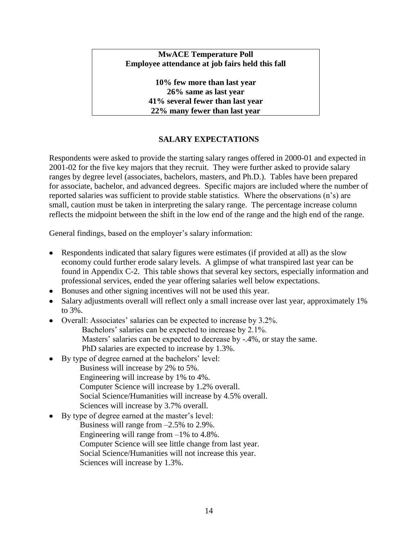## **MwACE Temperature Poll Employee attendance at job fairs held this fall**

**10% few more than last year 26% same as last year 41% several fewer than last year 22% many fewer than last year**

# **SALARY EXPECTATIONS**

Respondents were asked to provide the starting salary ranges offered in 2000-01 and expected in 2001-02 for the five key majors that they recruit. They were further asked to provide salary ranges by degree level (associates, bachelors, masters, and Ph.D.). Tables have been prepared for associate, bachelor, and advanced degrees. Specific majors are included where the number of reported salaries was sufficient to provide stable statistics. Where the observations (n's) are small, caution must be taken in interpreting the salary range. The percentage increase column reflects the midpoint between the shift in the low end of the range and the high end of the range.

General findings, based on the employer's salary information:

- Respondents indicated that salary figures were estimates (if provided at all) as the slow economy could further erode salary levels. A glimpse of what transpired last year can be found in Appendix C-2. This table shows that several key sectors, especially information and professional services, ended the year offering salaries well below expectations.
- Bonuses and other signing incentives will not be used this year.
- Salary adjustments overall will reflect only a small increase over last year, approximately 1% to 3%.
- Overall: Associates' salaries can be expected to increase by 3.2%.
	- Bachelors' salaries can be expected to increase by 2.1%.
		- Masters' salaries can be expected to decrease by -.4%, or stay the same.
	- PhD salaries are expected to increase by 1.3%.
	- By type of degree earned at the bachelors' level:
		- Business will increase by 2% to 5%.
		- Engineering will increase by 1% to 4%.
		- Computer Science will increase by 1.2% overall.
		- Social Science/Humanities will increase by 4.5% overall.
		- Sciences will increase by 3.7% overall.
- By type of degree earned at the master's level:
	- Business will range from –2.5% to 2.9%.
		- Engineering will range from  $-1\%$  to 4.8%.
		- Computer Science will see little change from last year.
		- Social Science/Humanities will not increase this year.
		- Sciences will increase by 1.3%.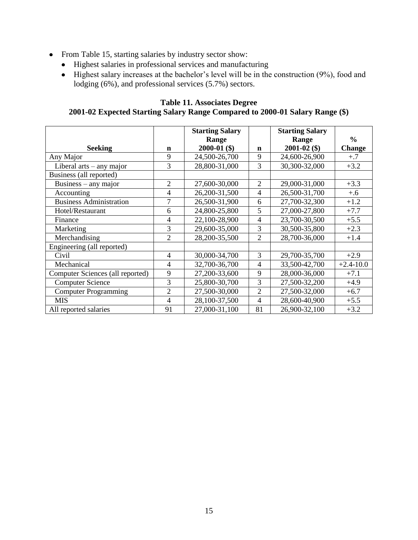- From Table 15, starting salaries by industry sector show:
	- Highest salaries in professional services and manufacturing
	- Highest salary increases at the bachelor's level will be in the construction (9%), food and lodging (6%), and professional services (5.7%) sectors.

# **Table 11. Associates Degree 2001-02 Expected Starting Salary Range Compared to 2000-01 Salary Range (\$)**

|                                  |                | <b>Starting Salary</b>  |                | <b>Starting Salary</b>    |                                |
|----------------------------------|----------------|-------------------------|----------------|---------------------------|--------------------------------|
| <b>Seeking</b>                   | n              | Range<br>$2000-01$ (\$) | $\mathbf n$    | Range<br>$2001 - 02$ (\$) | $\frac{6}{6}$<br><b>Change</b> |
| Any Major                        | 9              | 24,500-26,700           | 9              | 24,600-26,900             | $+.7$                          |
| Liberal $arts - any major$       | 3              | 28,800-31,000           | 3              | 30,300-32,000             | $+3.2$                         |
| Business (all reported)          |                |                         |                |                           |                                |
| Business $-$ any major           | $\overline{2}$ | 27,600-30,000           | $\overline{c}$ | 29,000-31,000             | $+3.3$                         |
| Accounting                       | 4              | 26,200-31,500           | 4              | 26,500-31,700             | $+.6$                          |
| <b>Business Administration</b>   | 7              | 26,500-31,900           | 6              | 27,700-32,300             | $+1.2$                         |
| Hotel/Restaurant                 | 6              | 24,800-25,800           | 5              | 27,000-27,800             | $+7.7$                         |
| Finance                          | 4              | 22,100-28,900           | 4              | 23,700-30,500             | $+5.5$                         |
| Marketing                        | 3              | 29,600-35,000           | 3              | 30,500-35,800             | $+2.3$                         |
| Merchandising                    | $\overline{2}$ | 28,200-35,500           | $\overline{c}$ | 28,700-36,000             | $+1.4$                         |
| Engineering (all reported)       |                |                         |                |                           |                                |
| Civil                            | 4              | 30,000-34,700           | 3              | 29,700-35,700             | $+2.9$                         |
| Mechanical                       | $\overline{4}$ | 32,700-36,700           | $\overline{4}$ | 33,500-42,700             | $+2.4 - 10.0$                  |
| Computer Sciences (all reported) | 9              | 27,200-33,600           | 9              | 28,000-36,000             | $+7.1$                         |
| <b>Computer Science</b>          | 3              | 25,800-30,700           | 3              | 27,500-32,200             | $+4.9$                         |
| <b>Computer Programming</b>      | $\overline{2}$ | 27,500-30,000           | $\overline{2}$ | 27,500-32,000             | $+6.7$                         |
| <b>MIS</b>                       | 4              | 28,100-37,500           | 4              | 28,600-40,900             | $+5.5$                         |
| All reported salaries            | 91             | 27,000-31,100           | 81             | 26,900-32,100             | $+3.2$                         |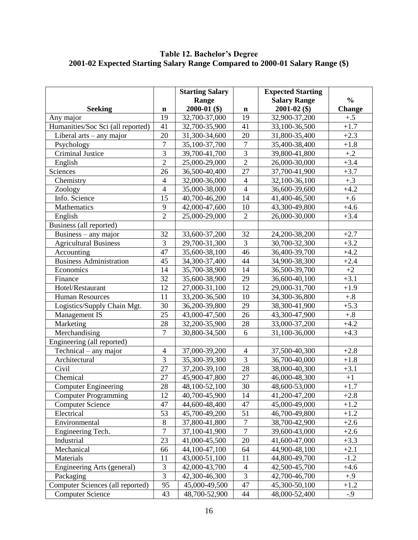#### **Table 12. Bachelor's Degree 2001-02 Expected Starting Salary Range Compared to 2000-01 Salary Range (\$)**

|                                   |                  | <b>Starting Salary</b> |                | <b>Expected Starting</b> |               |
|-----------------------------------|------------------|------------------------|----------------|--------------------------|---------------|
|                                   |                  | Range                  |                | <b>Salary Range</b>      | $\frac{6}{6}$ |
| <b>Seeking</b>                    | $\mathbf n$      | $2000-01$ (\$)         | $\mathbf n$    | $2001 - 02$ (\$)         | <b>Change</b> |
| Any major                         | 19               | 32,700-37,000          | 19             | 32,900-37,200            | $+.5$         |
| Humanities/Soc Sci (all reported) | 41               | 32,700-35,900          | 41             | 33,100-36,500            | $+1.7$        |
| Liberal arts - any major          | 20               | 31,300-34,600          | 20             | 31,800-35,400            | $+2.3$        |
| Psychology                        | $\boldsymbol{7}$ | 35,100-37,700          | $\tau$         | 35,400-38,400            | $+1.8$        |
| Criminal Justice                  | $\overline{3}$   | 39,700-41,700          | $\overline{3}$ | 39,800-41,800            | $+.2$         |
| English                           | $\overline{2}$   | 25,000-29,000          | $\overline{2}$ | 26,000-30,000            | $+3.4$        |
| Sciences                          | 26               | 36,500-40,400          | 27             | 37,700-41,900            | $+3.7$        |
| Chemistry                         | $\overline{4}$   | 32,000-36,000          | $\overline{4}$ | 32,100-36,100            | $+.3$         |
| Zoology                           | $\overline{4}$   | 35,000-38,000          | $\overline{4}$ | 36,600-39,600            | $+4.2$        |
| Info. Science                     | 15               | 40,700-46,200          | 14             | 41,400-46,500            | $+.6$         |
| Mathematics                       | 9                | 42,000-47,600          | 10             | 43,300-49,800            | $+4.6$        |
| English                           | $\overline{2}$   | 25,000-29,000          | $\overline{2}$ | 26,000-30,000            | $+3.4$        |
| Business (all reported)           |                  |                        |                |                          |               |
| Business $-$ any major            | 32               | 33,600-37,200          | 32             | 24,200-38,200            | $+2.7$        |
| <b>Agricultural Business</b>      | 3                | 29,700-31,300          | 3              | 30,700-32,300            | $+3.2$        |
| Accounting                        | 47               | 35,600-38,100          | 46             | 36,400-39,700            | $+4.2$        |
| <b>Business Administration</b>    | 45               | 34,300-37,400          | 44             | 34,900-38,300            | $+2.4$        |
| Economics                         | 14               | 35,700-38,900          | 14             | 36,500-39,700            | $+2$          |
| Finance                           | 32               | 35,600-38,900          | 29             | 36,600-40,100            | $+3.1$        |
| Hotel/Restaurant                  | 12               | 27,000-31,100          | 12             | 29,000-31,700            | $+1.9$        |
| <b>Human Resources</b>            | 11               | 33,200-36,500          | 10             | 34,300-36,800            | $+.8$         |
| Logistics/Supply Chain Mgt.       | 30               | 36,200-39,800          | 29             | 38,300-41,900            | $+5.3$        |
| Management IS                     | 25               | 43,000-47,500          | 26             | 43,300-47,900            | $+.8$         |
| Marketing                         | 28               | 32,200-35,900          | 28             | 33,000-37,200            | $+4.2$        |
| Merchandising                     | $\overline{7}$   | 30,800-34,500          | 6              | 31,100-36,000            | $+4.3$        |
| Engineering (all reported)        |                  |                        |                |                          |               |
| $Technical - any major$           | $\overline{4}$   | 37,000-39,200          | $\overline{4}$ | 37,500-40,300            | $+2.8$        |
| Architectural                     | $\overline{3}$   | 35,300-39,300          | $\overline{3}$ | 36,700-40,000            | $+1.8$        |
| Civil                             | 27               | 37,200-39,100          | 28             | 38,000-40,300            | $+3.1$        |
| Chemical                          | 27               | 45,900-47,800          | 27             | 46,000-48,300            | $+1$          |
| <b>Computer Engineering</b>       | 28               | 48,100-52,100          | 30             | 48,600-53,000            | $+1.7$        |
| <b>Computer Programming</b>       | 12               | 40,700-45,900          | 14             | 41,200-47,200            | $+2.8$        |
| <b>Computer Science</b>           | 47               | 44,600-48,400          | 47             | 45,000-49,000            | $+1.2$        |
| Electrical                        | 53               | 45,700-49,200          | 51             | 46,700-49,800            | $+1.2$        |
| Environmental                     | 8                | 37,800-41,800          | $\overline{7}$ | 38,700-42,900            | $+2.6$        |
| Engineering Tech.                 | $\overline{7}$   | 37,100-41,900          | $\overline{7}$ | 39,600-43,000            | $+2.6$        |
| Industrial                        | 23               | 41,000-45,500          | 20             | 41,600-47,000            | $+3.3$        |
| Mechanical                        | 66               | 44,100-47,100          | 64             | 44,900-48,100            | $+2.1$        |
| Materials                         | 11               | 43,000-51,100          | 11             | 44,800-49,700            | $-1.2$        |
| Engineering Arts (general)        | $\mathfrak{Z}$   | 42,000-43,700          | $\overline{4}$ | 42,500-45,700            | $+4.6$        |
| Packaging                         | $\overline{3}$   | 42,300-46,300          | $\overline{3}$ | 42,700-46,700            | $+.9$         |
| Computer Sciences (all reported)  | 95               | 45,000-49,500          | 47             | 45,300-50,100            | $+1.2$        |
| <b>Computer Science</b>           | 43               | 48,700-52,900          | 44             | 48,000-52,400            | $-0.9$        |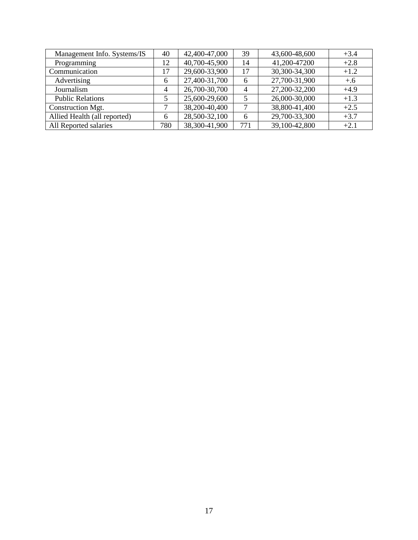| Management Info. Systems/IS  | 40             | 42,400-47,000 | 39             | 43,600-48,600 | $+3.4$ |
|------------------------------|----------------|---------------|----------------|---------------|--------|
| Programming                  | 12             | 40,700-45,900 | 14             | 41,200-47200  | $+2.8$ |
| Communication                | 17             | 29,600-33,900 | 17             | 30,300-34,300 | $+1.2$ |
| Advertising                  | 6              | 27,400-31,700 | 6              | 27,700-31,900 | $+.6$  |
| Journalism                   | $\overline{4}$ | 26,700-30,700 | $\overline{4}$ | 27,200-32,200 | $+4.9$ |
| <b>Public Relations</b>      |                | 25,600-29,600 | 5              | 26,000-30,000 | $+1.3$ |
| Construction Mgt.            |                | 38,200-40,400 |                | 38,800-41,400 | $+2.5$ |
| Allied Health (all reported) | 6              | 28,500-32,100 | 6              | 29,700-33,300 | $+3.7$ |
| All Reported salaries        | 780            | 38,300-41,900 | 771            | 39,100-42,800 | $+2.1$ |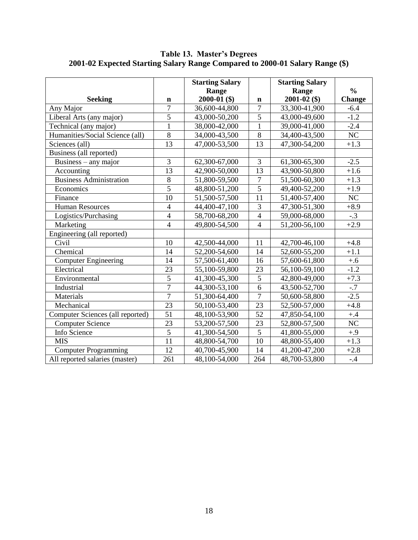|                                  |                 | <b>Starting Salary</b><br>Range |                | <b>Starting Salary</b><br>Range | $\frac{0}{0}$ |
|----------------------------------|-----------------|---------------------------------|----------------|---------------------------------|---------------|
| <b>Seeking</b>                   | n               | $2000-01$ (\$)                  | $\mathbf n$    | $2001 - 02$ (\$)                | <b>Change</b> |
| Any Major                        | $\overline{7}$  | 36,600-44,800                   | $\overline{7}$ | 33,300-41,900                   | $-6.4$        |
| Liberal Arts (any major)         | $\overline{5}$  | 43,000-50,200                   | $\overline{5}$ | 43,000-49,600                   | $-1.2$        |
| Technical (any major)            | $\mathbf{1}$    | 38,000-42,000                   | $\mathbf{1}$   | 39,000-41,000                   | $-2.4$        |
| Humanities/Social Science (all)  | 8               | 34,000-43,500                   | 8              | 34,400-43,500                   | NC            |
| Sciences (all)                   | 13              | 47,000-53,500                   | 13             | 47,300-54,200                   | $+1.3$        |
| Business (all reported)          |                 |                                 |                |                                 |               |
| Business $-$ any major           | 3               | 62,300-67,000                   | 3              | 61,300-65,300                   | $-2.5$        |
| Accounting                       | 13              | 42,900-50,000                   | 13             | 43,900-50,800                   | $+1.6$        |
| <b>Business Administration</b>   | $\overline{8}$  | 51,800-59,500                   | $\tau$         | 51,500-60,300                   | $+1.3$        |
| Economics                        | $\overline{5}$  | 48,800-51,200                   | $\overline{5}$ | 49,400-52,200                   | $+1.9$        |
| Finance                          | 10              | 51,500-57,500                   | 11             | 51,400-57,400                   | NC            |
| <b>Human Resources</b>           | $\overline{4}$  | 44,400-47,100                   | 3              | 47,300-51,300                   | $+8.9$        |
| Logistics/Purchasing             | $\overline{4}$  | 58,700-68,200                   | $\overline{4}$ | 59,000-68,000                   | $-.3$         |
| Marketing                        | $\overline{4}$  | 49,800-54,500                   | $\overline{4}$ | 51,200-56,100                   | $+2.9$        |
| Engineering (all reported)       |                 |                                 |                |                                 |               |
| Civil                            | 10              | 42,500-44,000                   | 11             | 42,700-46,100                   | $+4.8$        |
| Chemical                         | 14              | 52,200-54,600                   | 14             | 52,600-55,200                   | $+1.1$        |
| <b>Computer Engineering</b>      | 14              | 57,500-61,400                   | 16             | 57,600-61,800                   | $+.6$         |
| Electrical                       | 23              | 55,100-59,800                   | 23             | 56,100-59,100                   | $-1.2$        |
| Environmental                    | $\overline{5}$  | 41,300-45,300                   | $\overline{5}$ | 42,800-49,000                   | $+7.3$        |
| Industrial                       | $\overline{7}$  | 44,300-53,100                   | $\overline{6}$ | 43,500-52,700                   | $-.7$         |
| Materials                        | $\overline{7}$  | 51,300-64,400                   | $\overline{7}$ | 50,600-58,800                   | $-2.5$        |
| Mechanical                       | $\overline{23}$ | 50,100-53,400                   | 23             | 52,500-57,000                   | $+4.8$        |
| Computer Sciences (all reported) | 51              | 48,100-53,900                   | 52             | 47,850-54,100                   | $+.4$         |
| <b>Computer Science</b>          | 23              | 53,200-57,500                   | 23             | 52,800-57,500                   | NC            |
| Info Science                     | 5               | 41,300-54,500                   | 5              | 41,800-55,000                   | $+0.9$        |
| <b>MIS</b>                       | 11              | 48,800-54,700                   | 10             | 48,800-55,400                   | $+1.3$        |
| <b>Computer Programming</b>      | 12              | 40,700-45,900                   | 14             | 41,200-47,200                   | $+2.8$        |
| All reported salaries (master)   | 261             | 48,100-54,000                   | 264            | 48,700-53,800                   | $-.4$         |

**Table 13. Master's Degrees 2001-02 Expected Starting Salary Range Compared to 2000-01 Salary Range (\$)**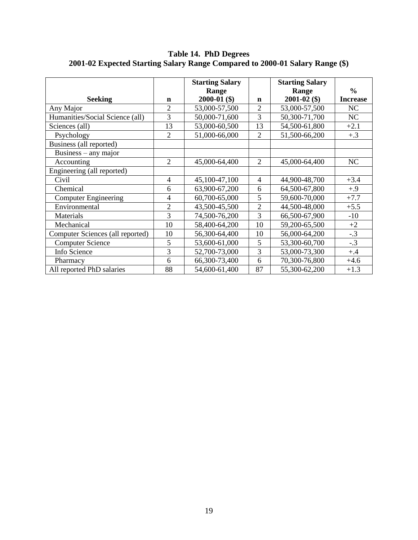|                                  |                | <b>Starting Salary</b> |                | <b>Starting Salary</b> |                 |
|----------------------------------|----------------|------------------------|----------------|------------------------|-----------------|
|                                  |                | Range                  |                | Range                  | $\frac{0}{0}$   |
| <b>Seeking</b>                   | n              | $2000-01$ (\$)         | $\mathbf n$    | $2001 - 02$ (\$)       | <b>Increase</b> |
| Any Major                        | $\overline{2}$ | 53,000-57,500          | $\overline{2}$ | 53,000-57,500          | <b>NC</b>       |
| Humanities/Social Science (all)  | 3              | 50,000-71,600          | 3              | 50,300-71,700          | <b>NC</b>       |
| Sciences (all)                   | 13             | 53,000-60,500          | 13             | 54,500-61,800          | $+2.1$          |
| Psychology                       | $\overline{2}$ | 51,000-66,000          | $\overline{2}$ | 51,500-66,200          | $+.3$           |
| Business (all reported)          |                |                        |                |                        |                 |
| Business $-$ any major           |                |                        |                |                        |                 |
| Accounting                       | $\overline{2}$ | 45,000-64,400          | 2              | 45,000-64,400          | NC              |
| Engineering (all reported)       |                |                        |                |                        |                 |
| Civil                            | $\overline{4}$ | 45,100-47,100          | $\overline{4}$ | 44,900-48,700          | $+3.4$          |
| Chemical                         | 6              | 63,900-67,200          | 6              | 64,500-67,800          | $+.9$           |
| <b>Computer Engineering</b>      | 4              | 60,700-65,000          | 5              | 59,600-70,000          | $+7.7$          |
| Environmental                    | $\overline{2}$ | 43,500-45,500          | $\overline{2}$ | 44,500-48,000          | $+5.5$          |
| Materials                        | 3              | 74,500-76,200          | 3              | 66,500-67,900          | $-10$           |
| Mechanical                       | 10             | 58,400-64,200          | 10             | 59,200-65,500          | $+2$            |
| Computer Sciences (all reported) | 10             | 56,300-64,400          | 10             | 56,000-64,200          | $-.3$           |
| <b>Computer Science</b>          | 5              | 53,600-61,000          | 5              | 53,300-60,700          | $-.3$           |
| Info Science                     | 3              | 52,700-73,000          | 3              | 53,000-73,300          | $+.4$           |
| Pharmacy                         | 6              | 66,300-73,400          | 6              | 70,300-76,800          | $+4.6$          |
| All reported PhD salaries        | 88             | 54,600-61,400          | 87             | 55,300-62,200          | $+1.3$          |

**Table 14. PhD Degrees 2001-02 Expected Starting Salary Range Compared to 2000-01 Salary Range (\$)**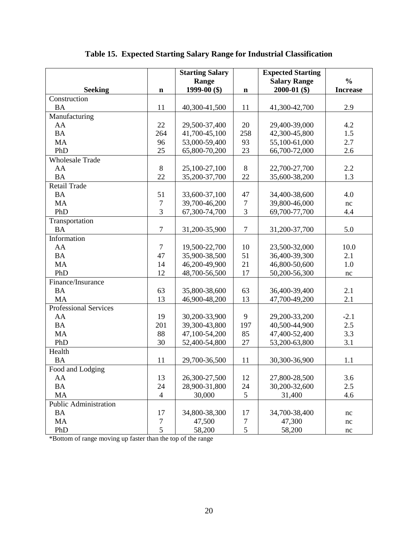|                              |                | <b>Starting Salary</b> |                | <b>Expected Starting</b> |                     |
|------------------------------|----------------|------------------------|----------------|--------------------------|---------------------|
|                              |                | Range                  |                | <b>Salary Range</b>      | $\frac{0}{0}$       |
| <b>Seeking</b>               | $\mathbf n$    | 1999-00 $(\$)$         | $\mathbf n$    | $2000-01$ (\$)           | <b>Increase</b>     |
| Construction                 |                |                        |                |                          |                     |
| <b>BA</b>                    | 11             | 40,300-41,500          | 11             | 41,300-42,700            | 2.9                 |
| Manufacturing                |                |                        |                |                          |                     |
| AA                           | 22             | 29,500-37,400          | 20             | 29,400-39,000            | 4.2                 |
| <b>BA</b>                    | 264            | 41,700-45,100          | 258            | 42,300-45,800            | 1.5                 |
| <b>MA</b>                    | 96             | 53,000-59,400          | 93             | 55,100-61,000            | 2.7                 |
| PhD                          | 25             | 65,800-70,200          | 23             | 66,700-72,000            | 2.6                 |
| <b>Wholesale Trade</b>       |                |                        |                |                          |                     |
| AA                           | 8              | 25,100-27,100          | 8              | 22,700-27,700            | 2.2                 |
| <b>BA</b>                    | 22             | 35,200-37,700          | 22             | 35,600-38,200            | 1.3                 |
| <b>Retail Trade</b>          |                |                        |                |                          |                     |
| <b>BA</b>                    | 51             | 33,600-37,100          | 47             | 34,400-38,600            | 4.0                 |
| <b>MA</b>                    | $\overline{7}$ | 39,700-46,200          | $\overline{7}$ | 39,800-46,000            | nc                  |
| PhD                          | 3              | 67,300-74,700          | 3              | 69,700-77,700            | 4.4                 |
| Transportation               |                |                        |                |                          |                     |
| <b>BA</b>                    | $\overline{7}$ | 31,200-35,900          | $\overline{7}$ | 31,200-37,700            | 5.0                 |
| Information                  |                |                        |                |                          |                     |
| AA                           | $\tau$         | 19,500-22,700          | 10             | 23,500-32,000            | 10.0                |
| <b>BA</b>                    | 47             | 35,900-38,500          | 51             | 36,400-39,300            | 2.1                 |
| <b>MA</b>                    | 14             | 46,200-49,900          | 21             | 46,800-50,600            | 1.0                 |
| PhD                          | 12             | 48,700-56,500          | 17             | 50,200-56,300            | $\operatorname{nc}$ |
| Finance/Insurance            |                |                        |                |                          |                     |
| <b>BA</b>                    | 63             | 35,800-38,600          | 63             | 36,400-39,400            | 2.1                 |
| <b>MA</b>                    | 13             | 46,900-48,200          | 13             | 47,700-49,200            | 2.1                 |
| <b>Professional Services</b> |                |                        |                |                          |                     |
| AA                           | 19             | 30,200-33,900          | 9              | 29,200-33,200            | $-2.1$              |
| <b>BA</b>                    | 201            | 39,300-43,800          | 197            | 40,500-44,900            | 2.5                 |
| <b>MA</b>                    | 88             | 47,100-54,200          | 85             | 47,400-52,400            | 3.3                 |
| PhD                          | 30             | 52,400-54,800          | 27             | 53,200-63,800            | 3.1                 |
| Health                       |                |                        |                |                          |                     |
| <b>BA</b>                    | 11             | 29,700-36,500          | 11             | 30,300-36,900            | 1.1                 |
| Food and Lodging             |                |                        |                |                          |                     |
| AA                           | 13             | 26,300-27,500          | 12             | 27,800-28,500            | 3.6                 |
| <b>BA</b>                    | 24             | 28,900-31,800          | 24             | 30,200-32,600            | 2.5                 |
| MA                           | $\overline{4}$ | 30,000                 | $\mathfrak{S}$ | 31,400                   | 4.6                 |
| Public Administration        |                |                        |                |                          |                     |
| <b>BA</b>                    | 17             | 34,800-38,300          | 17             | 34,700-38,400            | nc                  |
| MA                           | $\overline{7}$ | 47,500                 | $\tau$         | 47,300                   | nc                  |
| PhD                          | $\mathfrak{S}$ | 58,200                 | $\mathfrak s$  | 58,200                   | nc                  |

\*Bottom of range moving up faster than the top of the range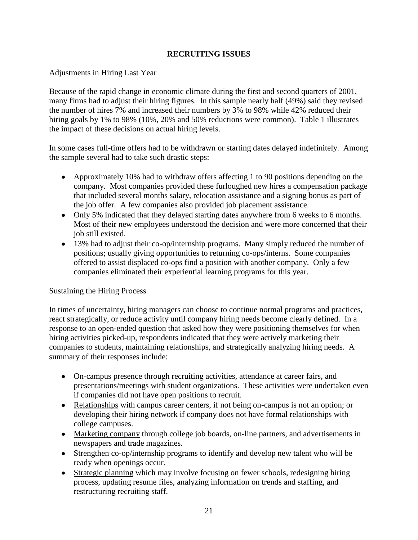# **RECRUITING ISSUES**

# Adjustments in Hiring Last Year

Because of the rapid change in economic climate during the first and second quarters of 2001, many firms had to adjust their hiring figures. In this sample nearly half (49%) said they revised the number of hires 7% and increased their numbers by 3% to 98% while 42% reduced their hiring goals by 1% to 98% (10%, 20% and 50% reductions were common). Table 1 illustrates the impact of these decisions on actual hiring levels.

In some cases full-time offers had to be withdrawn or starting dates delayed indefinitely. Among the sample several had to take such drastic steps:

- Approximately 10% had to withdraw offers affecting 1 to 90 positions depending on the company. Most companies provided these furloughed new hires a compensation package that included several months salary, relocation assistance and a signing bonus as part of the job offer. A few companies also provided job placement assistance.
- Only 5% indicated that they delayed starting dates anywhere from 6 weeks to 6 months. Most of their new employees understood the decision and were more concerned that their job still existed.
- 13% had to adjust their co-op/internship programs. Many simply reduced the number of positions; usually giving opportunities to returning co-ops/interns. Some companies offered to assist displaced co-ops find a position with another company. Only a few companies eliminated their experiential learning programs for this year.

#### Sustaining the Hiring Process

In times of uncertainty, hiring managers can choose to continue normal programs and practices, react strategically, or reduce activity until company hiring needs become clearly defined. In a response to an open-ended question that asked how they were positioning themselves for when hiring activities picked-up, respondents indicated that they were actively marketing their companies to students, maintaining relationships, and strategically analyzing hiring needs. A summary of their responses include:

- On-campus presence through recruiting activities, attendance at career fairs, and presentations/meetings with student organizations. These activities were undertaken even if companies did not have open positions to recruit.
- Relationships with campus career centers, if not being on-campus is not an option; or developing their hiring network if company does not have formal relationships with college campuses.
- Marketing company through college job boards, on-line partners, and advertisements in newspapers and trade magazines.
- Strengthen co-op/internship programs to identify and develop new talent who will be ready when openings occur.
- Strategic planning which may involve focusing on fewer schools, redesigning hiring process, updating resume files, analyzing information on trends and staffing, and restructuring recruiting staff.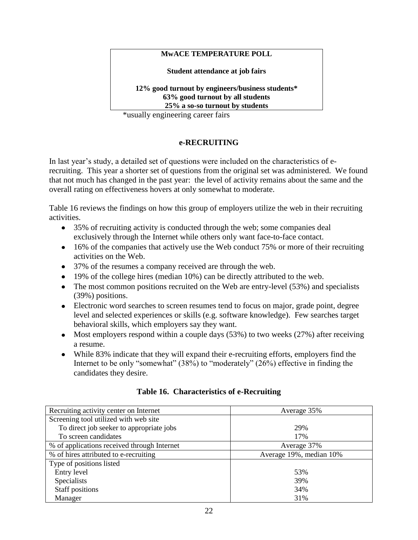### **MwACE TEMPERATURE POLL**

**Student attendance at job fairs**

**12% good turnout by engineers/business students\* 63% good turnout by all students 25% a so-so turnout by students**

\*usually engineering career fairs

# **e-RECRUITING**

In last year's study, a detailed set of questions were included on the characteristics of erecruiting. This year a shorter set of questions from the original set was administered. We found that not much has changed in the past year: the level of activity remains about the same and the overall rating on effectiveness hovers at only somewhat to moderate.

Table 16 reviews the findings on how this group of employers utilize the web in their recruiting activities.

- 35% of recruiting activity is conducted through the web; some companies deal exclusively through the Internet while others only want face-to-face contact.
- 16% of the companies that actively use the Web conduct 75% or more of their recruiting activities on the Web.
- 37% of the resumes a company received are through the web.
- 19% of the college hires (median 10%) can be directly attributed to the web.
- The most common positions recruited on the Web are entry-level (53%) and specialists (39%) positions.
- Electronic word searches to screen resumes tend to focus on major, grade point, degree level and selected experiences or skills (e.g. software knowledge). Few searches target behavioral skills, which employers say they want.
- Most employers respond within a couple days  $(53%)$  to two weeks  $(27%)$  after receiving a resume.
- While 83% indicate that they will expand their e-recruiting efforts, employers find the Internet to be only "somewhat" (38%) to "moderately" (26%) effective in finding the candidates they desire.

| Recruiting activity center on Internet      | Average 35%             |  |
|---------------------------------------------|-------------------------|--|
| Screening tool utilized with web site       |                         |  |
| To direct job seeker to appropriate jobs    | 29%                     |  |
| To screen candidates                        | 17%                     |  |
| % of applications received through Internet | Average 37%             |  |
| % of hires attributed to e-recruiting       | Average 19%, median 10% |  |
| Type of positions listed                    |                         |  |
| Entry level                                 | 53%                     |  |
| <b>Specialists</b>                          | 39%                     |  |
| Staff positions                             | 34%                     |  |
| Manager                                     | 31%                     |  |

# **Table 16. Characteristics of e-Recruiting**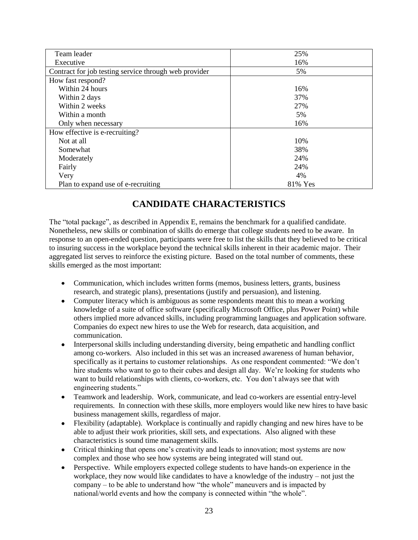| Team leader                                           | 25%     |
|-------------------------------------------------------|---------|
| Executive                                             | 16%     |
| Contract for job testing service through web provider | 5%      |
| How fast respond?                                     |         |
| Within 24 hours                                       | 16%     |
| Within 2 days                                         | 37%     |
| Within 2 weeks                                        | 27%     |
| Within a month                                        | 5%      |
| Only when necessary                                   | 16%     |
| How effective is e-recruiting?                        |         |
| Not at all                                            | 10%     |
| Somewhat                                              | 38%     |
| Moderately                                            | 24%     |
| Fairly                                                | 24%     |
| Very                                                  | 4%      |
| Plan to expand use of e-recruiting                    | 81% Yes |

# **CANDIDATE CHARACTERISTICS**

The "total package", as described in Appendix E, remains the benchmark for a qualified candidate. Nonetheless, new skills or combination of skills do emerge that college students need to be aware. In response to an open-ended question, participants were free to list the skills that they believed to be critical to insuring success in the workplace beyond the technical skills inherent in their academic major. Their aggregated list serves to reinforce the existing picture. Based on the total number of comments, these skills emerged as the most important:

- Communication, which includes written forms (memos, business letters, grants, business research, and strategic plans), presentations (justify and persuasion), and listening.
- Computer literacy which is ambiguous as some respondents meant this to mean a working  $\bullet$ knowledge of a suite of office software (specifically Microsoft Office, plus Power Point) while others implied more advanced skills, including programming languages and application software. Companies do expect new hires to use the Web for research, data acquisition, and communication.
- Interpersonal skills including understanding diversity, being empathetic and handling conflict among co-workers. Also included in this set was an increased awareness of human behavior, specifically as it pertains to customer relationships. As one respondent commented: "We don't hire students who want to go to their cubes and design all day. We're looking for students who want to build relationships with clients, co-workers, etc. You don't always see that with engineering students."
- Teamwork and leadership. Work, communicate, and lead co-workers are essential entry-level requirements. In connection with these skills, more employers would like new hires to have basic business management skills, regardless of major.
- Flexibility (adaptable). Workplace is continually and rapidly changing and new hires have to be  $\bullet$ able to adjust their work priorities, skill sets, and expectations. Also aligned with these characteristics is sound time management skills.
- Critical thinking that opens one's creativity and leads to innovation; most systems are now complex and those who see how systems are being integrated will stand out.
- Perspective. While employers expected college students to have hands-on experience in the  $\bullet$ workplace, they now would like candidates to have a knowledge of the industry – not just the company – to be able to understand how "the whole" maneuvers and is impacted by national/world events and how the company is connected within "the whole".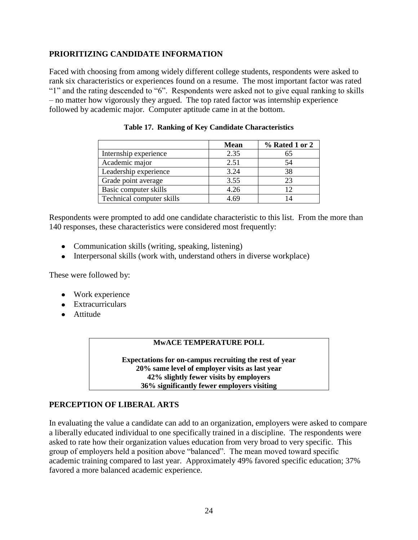# **PRIORITIZING CANDIDATE INFORMATION**

Faced with choosing from among widely different college students, respondents were asked to rank six characteristics or experiences found on a resume. The most important factor was rated "1" and the rating descended to "6". Respondents were asked not to give equal ranking to skills – no matter how vigorously they argued. The top rated factor was internship experience followed by academic major. Computer aptitude came in at the bottom.

|                           | <b>Mean</b> | % Rated 1 or 2 |
|---------------------------|-------------|----------------|
| Internship experience     | 2.35        | 65             |
| Academic major            | 2.51        | 54             |
| Leadership experience     | 3.24        | 38             |
| Grade point average       | 3.55        | 23             |
| Basic computer skills     | 4.26        | 12             |
| Technical computer skills | 4.69        |                |

**Table 17. Ranking of Key Candidate Characteristics** 

Respondents were prompted to add one candidate characteristic to this list. From the more than 140 responses, these characteristics were considered most frequently:

- Communication skills (writing, speaking, listening)
- Interpersonal skills (work with, understand others in diverse workplace)

These were followed by:

- Work experience
- Extracurriculars
- Attitude

#### **MwACE TEMPERATURE POLL**

**Expectations for on-campus recruiting the rest of year 20% same level of employer visits as last year 42% slightly fewer visits by employers 36% significantly fewer employers visiting**

#### **PERCEPTION OF LIBERAL ARTS**

In evaluating the value a candidate can add to an organization, employers were asked to compare a liberally educated individual to one specifically trained in a discipline. The respondents were asked to rate how their organization values education from very broad to very specific. This group of employers held a position above "balanced". The mean moved toward specific academic training compared to last year. Approximately 49% favored specific education; 37% favored a more balanced academic experience.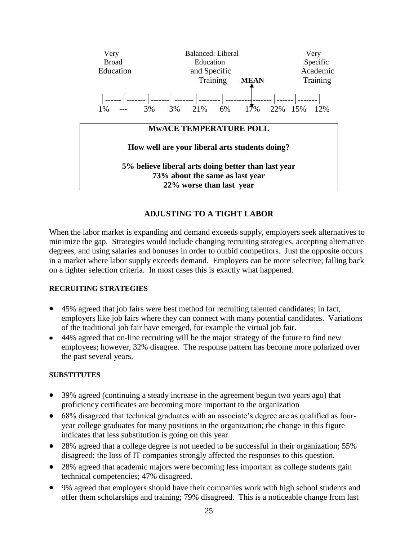

# **ADJUSTING TO A TIGHT LABOR**

When the labor market is expanding and demand exceeds supply, employers seek alternatives to minimize the gap. Strategies would include changing recruiting strategies, accepting alternative degrees, and using salaries and bonuses in order to outbid competitors. Just the opposite occurs in a market where labor supply exceeds demand. Employers can be more selective; falling back on a tighter selection criteria. In most cases this is exactly what happened.

#### **RECRUITING STRATEGIES**

- 45% agreed that job fairs were best method for recruiting talented candidates; in fact, employers like job fairs where they can connect with many potential candidates. Variations of the traditional job fair have emerged, for example the virtual job fair.
- 44% agreed that on-line recruiting will be the major strategy of the future to find new employees; however, 32% disagree. The response pattern has become more polarized over the past several years.

#### **SUBSTITUTES**

- 39% agreed (continuing a steady increase in the agreement begun two years ago) that proficiency certificates are becoming more important to the organization
- 68% disagreed that technical graduates with an associate's degree are as qualified as fouryear college graduates for many positions in the organization; the change in this figure indicates that less substitution is going on this year.
- 28% agreed that a college degree is not needed to be successful in their organization; 55% disagreed; the loss of IT companies strongly affected the responses to this question.
- 28% agreed that academic majors were becoming less important as college students gain technical competencies; 47% disagreed.
- 9% agreed that employers should have their companies work with high school students and offer them scholarships and training; 79% disagreed. This is a noticeable change from last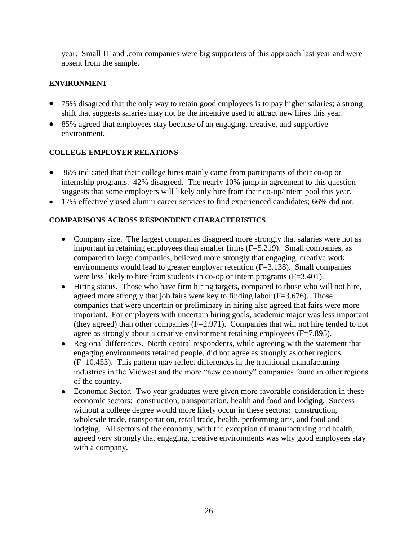year. Small IT and .com companies were big supporters of this approach last year and were absent from the sample.

# **ENVIRONMENT**

- 75% disagreed that the only way to retain good employees is to pay higher salaries; a strong shift that suggests salaries may not be the incentive used to attract new hires this year.
- 85% agreed that employees stay because of an engaging, creative, and supportive environment.

# **COLLEGE-EMPLOYER RELATIONS**

- 36% indicated that their college hires mainly came from participants of their co-op or internship programs. 42% disagreed. The nearly 10% jump in agreement to this question suggests that some employers will likely only hire from their co-op/intern pool this year.
- 17% effectively used alumni career services to find experienced candidates; 66% did not.

# **COMPARISONS ACROSS RESPONDENT CHARACTERISTICS**

- Company size. The largest companies disagreed more strongly that salaries were not as important in retaining employees than smaller firms  $(F=5.219)$ . Small companies, as compared to large companies, believed more strongly that engaging, creative work environments would lead to greater employer retention (F=3.138). Small companies were less likely to hire from students in co-op or intern programs (F=3.401).
- Hiring status. Those who have firm hiring targets, compared to those who will not hire,  $\bullet$ agreed more strongly that job fairs were key to finding labor  $(F=3.676)$ . Those companies that were uncertain or preliminary in hiring also agreed that fairs were more important. For employers with uncertain hiring goals, academic major was less important (they agreed) than other companies (F=2.971). Companies that will not hire tended to not agree as strongly about a creative environment retaining employees (F=7.895).
- Regional differences. North central respondents, while agreeing with the statement that engaging environments retained people, did not agree as strongly as other regions (F=10.453). This pattern may reflect differences in the traditional manufacturing industries in the Midwest and the more "new economy" companies found in other regions of the country.
- Economic Sector. Two year graduates were given more favorable consideration in these economic sectors: construction, transportation, health and food and lodging. Success without a college degree would more likely occur in these sectors: construction, wholesale trade, transportation, retail trade, health, performing arts, and food and lodging. All sectors of the economy, with the exception of manufacturing and health, agreed very strongly that engaging, creative environments was why good employees stay with a company.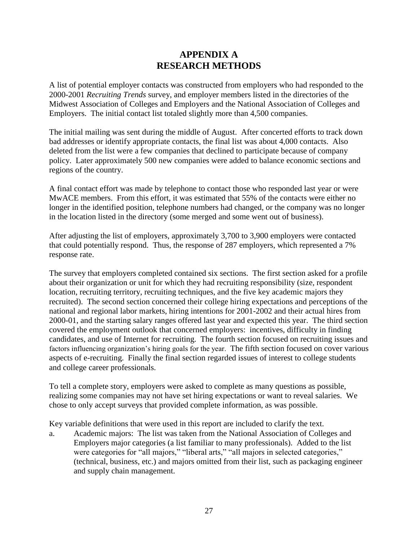# **APPENDIX A RESEARCH METHODS**

A list of potential employer contacts was constructed from employers who had responded to the 2000-2001 *Recruiting Trends* survey, and employer members listed in the directories of the Midwest Association of Colleges and Employers and the National Association of Colleges and Employers. The initial contact list totaled slightly more than 4,500 companies.

The initial mailing was sent during the middle of August. After concerted efforts to track down bad addresses or identify appropriate contacts, the final list was about 4,000 contacts. Also deleted from the list were a few companies that declined to participate because of company policy. Later approximately 500 new companies were added to balance economic sections and regions of the country.

A final contact effort was made by telephone to contact those who responded last year or were MwACE members. From this effort, it was estimated that 55% of the contacts were either no longer in the identified position, telephone numbers had changed, or the company was no longer in the location listed in the directory (some merged and some went out of business).

After adjusting the list of employers, approximately 3,700 to 3,900 employers were contacted that could potentially respond. Thus, the response of 287 employers, which represented a 7% response rate.

The survey that employers completed contained six sections. The first section asked for a profile about their organization or unit for which they had recruiting responsibility (size, respondent location, recruiting territory, recruiting techniques, and the five key academic majors they recruited). The second section concerned their college hiring expectations and perceptions of the national and regional labor markets, hiring intentions for 2001-2002 and their actual hires from 2000-01, and the starting salary ranges offered last year and expected this year. The third section covered the employment outlook that concerned employers: incentives, difficulty in finding candidates, and use of Internet for recruiting. The fourth section focused on recruiting issues and factors influencing organization's hiring goals for the year. The fifth section focused on cover various aspects of e-recruiting. Finally the final section regarded issues of interest to college students and college career professionals.

To tell a complete story, employers were asked to complete as many questions as possible, realizing some companies may not have set hiring expectations or want to reveal salaries. We chose to only accept surveys that provided complete information, as was possible.

Key variable definitions that were used in this report are included to clarify the text.

a. Academic majors: The list was taken from the National Association of Colleges and Employers major categories (a list familiar to many professionals). Added to the list were categories for "all majors," "liberal arts," "all majors in selected categories," (technical, business, etc.) and majors omitted from their list, such as packaging engineer and supply chain management.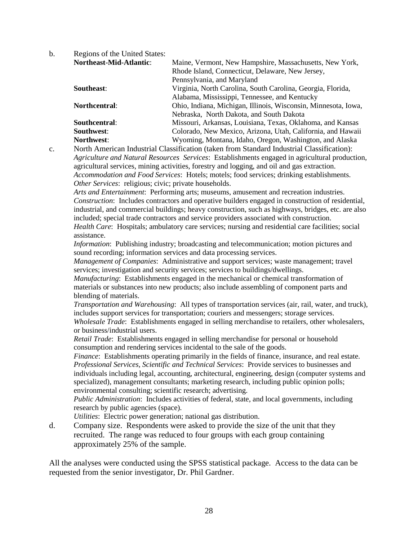b. Regions of the United States: **Northeast-Mid-Atlantic**: Maine, Vermont, New Hampshire, Massachusetts, New York, Rhode Island, Connecticut, Delaware, New Jersey, Pennsylvania, and Maryland **Southeast**: Virginia, North Carolina, South Carolina, Georgia, Florida, Alabama, Mississippi, Tennessee, and Kentucky **Northcentral**: Ohio, Indiana, Michigan, Illinois, Wisconsin, Minnesota, Iowa, Nebraska, North Dakota, and South Dakota **Southcentral**: Missouri, Arkansas, Louisiana, Texas, Oklahoma, and Kansas **Southwest**: Colorado, New Mexico, Arizona, Utah, California, and Hawaii **Northwest:** Wyoming, Montana, Idaho, Oregon, Washington, and Alaska

c. North American Industrial Classification (taken from Standard Industrial Classification): *Agriculture and Natural Resources Services*: Establishments engaged in agricultural production, agricultural services, mining activities, forestry and logging, and oil and gas extraction. *Accommodation and Food Services*: Hotels; motels; food services; drinking establishments. *Other Services*: religious; civic; private households.

*Arts and Entertainment*: Performing arts; museums, amusement and recreation industries. *Construction*: Includes contractors and operative builders engaged in construction of residential, industrial, and commercial buildings; heavy construction, such as highways, bridges, etc. are also included; special trade contractors and service providers associated with construction.

*Health Care*: Hospitals; ambulatory care services; nursing and residential care facilities; social assistance.

*Information*: Publishing industry; broadcasting and telecommunication; motion pictures and sound recording; information services and data processing services.

*Management of Companies*: Administrative and support services; waste management; travel services; investigation and security services; services to buildings/dwellings.

*Manufacturing*: Establishments engaged in the mechanical or chemical transformation of materials or substances into new products; also include assembling of component parts and blending of materials.

*Transportation and Warehousing*: All types of transportation services (air, rail, water, and truck), includes support services for transportation; couriers and messengers; storage services.

*Wholesale Trade*: Establishments engaged in selling merchandise to retailers, other wholesalers, or business/industrial users.

*Retail Trade*: Establishments engaged in selling merchandise for personal or household consumption and rendering services incidental to the sale of the goods.

*Finance*: Establishments operating primarily in the fields of finance, insurance, and real estate. *Professional Services, Scientific and Technical Services*: Provide services to businesses and individuals including legal, accounting, architectural, engineering, design (computer systems and specialized), management consultants; marketing research, including public opinion polls; environmental consulting; scientific research; advertising.

*Public Administration*: Includes activities of federal, state, and local governments, including research by public agencies (space).

*Utilities*: Electric power generation; national gas distribution.

d. Company size. Respondents were asked to provide the size of the unit that they recruited. The range was reduced to four groups with each group containing approximately 25% of the sample.

All the analyses were conducted using the SPSS statistical package. Access to the data can be requested from the senior investigator, Dr. Phil Gardner.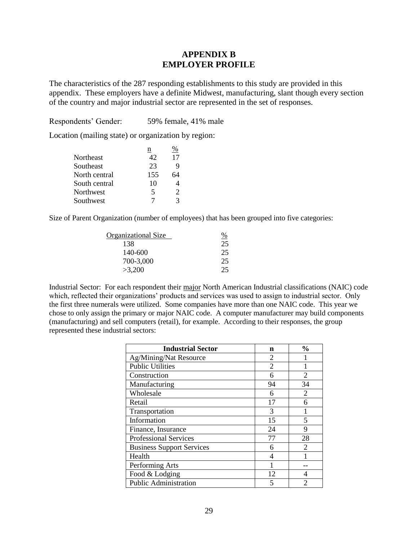## **APPENDIX B EMPLOYER PROFILE**

The characteristics of the 287 responding establishments to this study are provided in this appendix. These employers have a definite Midwest, manufacturing, slant though every section of the country and major industrial sector are represented in the set of responses.

Respondents' Gender: 59% female, 41% male

Location (mailing state) or organization by region:

|               | n   | $\%$                        |
|---------------|-----|-----------------------------|
| Northeast     | 42  | 17                          |
| Southeast     | 23  | 9                           |
| North central | 155 | 64                          |
| South central | 10  |                             |
| Northwest     | 5   | $\mathcal{D}_{\mathcal{A}}$ |
| Southwest     | 7   | 3                           |

Size of Parent Organization (number of employees) that has been grouped into five categories:

| Organizational Size |    |
|---------------------|----|
| 138                 | 25 |
| 140-600             | 25 |
| 700-3,000           | 25 |
| >3,200              | 25 |

Industrial Sector: For each respondent their major North American Industrial classifications (NAIC) code which, reflected their organizations' products and services was used to assign to industrial sector. Only the first three numerals were utilized. Some companies have more than one NAIC code. This year we chose to only assign the primary or major NAIC code. A computer manufacturer may build components (manufacturing) and sell computers (retail), for example. According to their responses, the group represented these industrial sectors:

| <b>Industrial Sector</b>         | n              | $\frac{0}{0}$               |
|----------------------------------|----------------|-----------------------------|
| Ag/Mining/Nat Resource           | 2              |                             |
| <b>Public Utilities</b>          | $\overline{2}$ |                             |
| Construction                     | 6              | $\mathfrak{D}$              |
| Manufacturing                    | 94             | 34                          |
| Wholesale                        | 6              | 2                           |
| Retail                           | 17             | 6                           |
| Transportation                   | 3              |                             |
| Information                      | 15             | 5                           |
| Finance, Insurance               | 24             | 9                           |
| <b>Professional Services</b>     | 77             | 28                          |
| <b>Business Support Services</b> | 6              | $\mathcal{D}_{\mathcal{L}}$ |
| Health                           | 4              |                             |
| Performing Arts                  |                |                             |
| Food & Lodging                   | 12             | 4                           |
| <b>Public Administration</b>     | 5              | $\mathfrak{D}$              |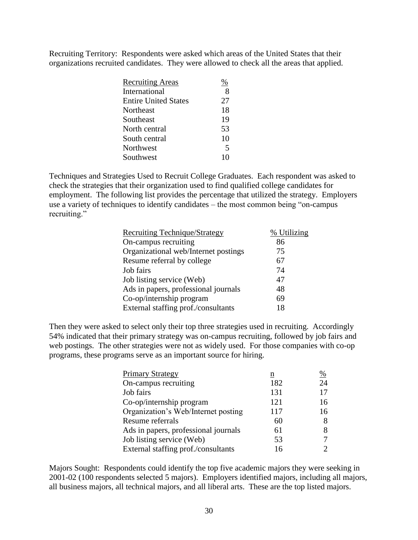Recruiting Territory: Respondents were asked which areas of the United States that their organizations recruited candidates. They were allowed to check all the areas that applied.

| <b>Recruiting Areas</b>     |                         |
|-----------------------------|-------------------------|
| International               | 8                       |
| <b>Entire United States</b> | 27                      |
| Northeast                   | 18                      |
| Southeast                   | 19                      |
| North central               | 53                      |
| South central               | 10                      |
| Northwest                   | $\overline{\mathbf{5}}$ |
| Southwest                   |                         |

Techniques and Strategies Used to Recruit College Graduates. Each respondent was asked to check the strategies that their organization used to find qualified college candidates for employment. The following list provides the percentage that utilized the strategy. Employers use a variety of techniques to identify candidates – the most common being "on-campus recruiting."

| <b>Recruiting Technique/Strategy</b> | % Utilizing |
|--------------------------------------|-------------|
| On-campus recruiting                 | 86          |
| Organizational web/Internet postings | 75          |
| Resume referral by college           | 67          |
| Job fairs                            | 74          |
| Job listing service (Web)            | 47          |
| Ads in papers, professional journals | 48          |
| Co-op/internship program             | 69          |
| External staffing prof./consultants  | 18          |

Then they were asked to select only their top three strategies used in recruiting. Accordingly 54% indicated that their primary strategy was on-campus recruiting, followed by job fairs and web postings. The other strategies were not as widely used. For those companies with co-op programs, these programs serve as an important source for hiring.

| <b>Primary Strategy</b>              | n   | %                           |
|--------------------------------------|-----|-----------------------------|
| On-campus recruiting                 | 182 | 24                          |
| Job fairs                            | 131 | 17                          |
| Co-op/internship program             | 121 | 16                          |
| Organization's Web/Internet posting  | 117 | 16                          |
| Resume referrals                     | 60  | 8                           |
| Ads in papers, professional journals | 61  | 8                           |
| Job listing service (Web)            | 53  | 7                           |
| External staffing prof./consultants  | 16  | $\mathcal{D}_{\mathcal{A}}$ |

Majors Sought: Respondents could identify the top five academic majors they were seeking in 2001-02 (100 respondents selected 5 majors). Employers identified majors, including all majors, all business majors, all technical majors, and all liberal arts. These are the top listed majors.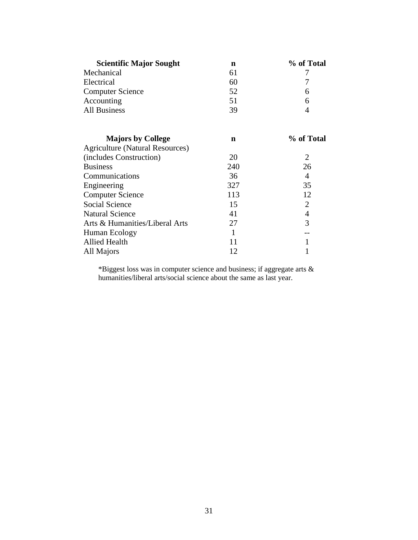| <b>Scientific Major Sought</b>         | n   | % of Total     |
|----------------------------------------|-----|----------------|
| Mechanical                             | 61  | 7              |
| Electrical                             | 60  | 7              |
| <b>Computer Science</b>                | 52  | 6              |
| Accounting                             | 51  | 6              |
| <b>All Business</b>                    | 39  | 4              |
| <b>Majors by College</b>               | n   | % of Total     |
| <b>Agriculture (Natural Resources)</b> |     |                |
| (includes Construction)                | 20  | 2              |
| <b>Business</b>                        | 240 | 26             |
| Communications                         | 36  | 4              |
| Engineering                            | 327 | 35             |
| <b>Computer Science</b>                | 113 | 12             |
| <b>Social Science</b>                  | 15  | 2              |
| <b>Natural Science</b>                 | 41  | $\overline{4}$ |
| Arts & Humanities/Liberal Arts         | 27  | 3              |
| Human Ecology                          | 1   |                |
| Allied Health                          | 11  | 1              |
| All Majors                             | 12  |                |

\*Biggest loss was in computer science and business; if aggregate arts & humanities/liberal arts/social science about the same as last year.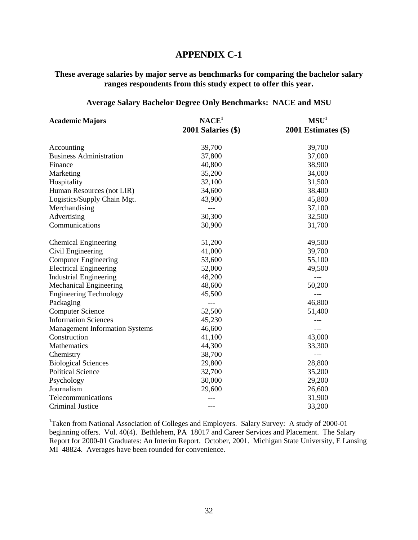## **APPENDIX C-1**

# **These average salaries by major serve as benchmarks for comparing the bachelor salary ranges respondents from this study expect to offer this year.**

#### **Average Salary Bachelor Degree Only Benchmarks: NACE and MSU**

| <b>Academic Majors</b>                | NACE <sup>1</sup>      | MSU <sup>1</sup>    |  |
|---------------------------------------|------------------------|---------------------|--|
|                                       | $2001$ Salaries $(\$)$ | 2001 Estimates (\$) |  |
| Accounting                            | 39,700                 | 39,700              |  |
| <b>Business Administration</b>        | 37,800                 | 37,000              |  |
| Finance                               | 40,800                 | 38,900              |  |
| Marketing                             | 35,200                 | 34,000              |  |
| Hospitality                           | 32,100                 | 31,500              |  |
| Human Resources (not LIR)             | 34,600                 | 38,400              |  |
| Logistics/Supply Chain Mgt.           | 43,900                 | 45,800              |  |
| Merchandising                         | $---$                  | 37,100              |  |
| Advertising                           | 30,300                 | 32,500              |  |
| Communications                        | 30,900                 | 31,700              |  |
| <b>Chemical Engineering</b>           | 51,200                 | 49,500              |  |
| Civil Engineering                     | 41,000                 | 39,700              |  |
| <b>Computer Engineering</b>           | 53,600                 | 55,100              |  |
| <b>Electrical Engineering</b>         | 52,000                 | 49,500              |  |
| <b>Industrial Engineering</b>         | 48,200                 | $---$               |  |
| <b>Mechanical Engineering</b>         | 48,600                 | 50,200              |  |
| <b>Engineering Technology</b>         | 45,500                 | $---$               |  |
| Packaging                             | $---$                  | 46,800              |  |
| <b>Computer Science</b>               | 52,500                 | 51,400              |  |
| <b>Information Sciences</b>           | 45,230                 |                     |  |
| <b>Management Information Systems</b> | 46,600                 | $---$               |  |
| Construction                          | 41,100                 | 43,000              |  |
| Mathematics                           | 44,300                 | 33,300              |  |
| Chemistry                             | 38,700                 |                     |  |
| <b>Biological Sciences</b>            | 29,800                 | 28,800              |  |
| <b>Political Science</b>              | 32,700                 | 35,200              |  |
| Psychology                            | 30,000                 | 29,200              |  |
| Journalism                            | 29,600                 | 26,600              |  |
| Telecommunications                    |                        | 31,900              |  |
| Criminal Justice                      | $---$                  | 33,200              |  |

<sup>1</sup>Taken from National Association of Colleges and Employers. Salary Survey: A study of 2000-01 beginning offers. Vol. 40(4). Bethlehem, PA 18017 and Career Services and Placement. The Salary Report for 2000-01 Graduates: An Interim Report. October, 2001. Michigan State University, E Lansing MI 48824. Averages have been rounded for convenience.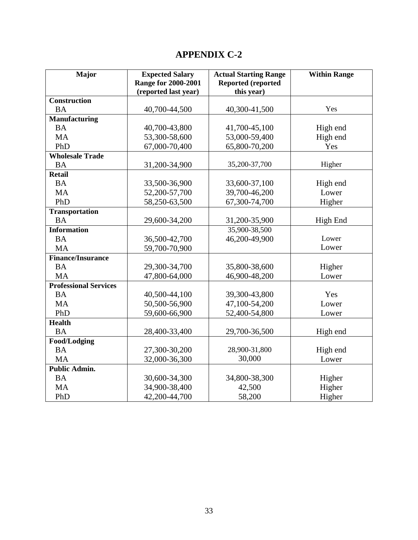# **APPENDIX C-2**

| Major                        | <b>Expected Salary</b>     | <b>Actual Starting Range</b> | <b>Within Range</b> |
|------------------------------|----------------------------|------------------------------|---------------------|
|                              | <b>Range for 2000-2001</b> | <b>Reported (reported</b>    |                     |
|                              | (reported last year)       | this year)                   |                     |
| <b>Construction</b>          |                            |                              |                     |
| <b>BA</b>                    | 40,700-44,500              | 40,300-41,500                | Yes                 |
| <b>Manufacturing</b>         |                            |                              |                     |
| <b>BA</b>                    | 40,700-43,800              | 41,700-45,100                | High end            |
| <b>MA</b>                    | 53,300-58,600              | 53,000-59,400                | High end            |
| PhD                          | 67,000-70,400              | 65,800-70,200                | Yes                 |
| <b>Wholesale Trade</b>       |                            |                              |                     |
| <b>BA</b>                    | 31,200-34,900              | 35,200-37,700                | Higher              |
| <b>Retail</b>                |                            |                              |                     |
| <b>BA</b>                    | 33,500-36,900              | 33,600-37,100                | High end            |
| <b>MA</b>                    | 52,200-57,700              | 39,700-46,200                | Lower               |
| PhD                          | 58,250-63,500              | 67,300-74,700                | Higher              |
| <b>Transportation</b>        |                            |                              |                     |
| <b>BA</b>                    | 29,600-34,200              | 31,200-35,900                | High End            |
| <b>Information</b>           |                            | 35,900-38,500                |                     |
| <b>BA</b>                    | 36,500-42,700              | 46,200-49,900                | Lower               |
| <b>MA</b>                    | 59,700-70,900              |                              | Lower               |
| <b>Finance/Insurance</b>     |                            |                              |                     |
| <b>BA</b>                    | 29,300-34,700              | 35,800-38,600                | Higher              |
| <b>MA</b>                    | 47,800-64,000              | 46,900-48,200                | Lower               |
| <b>Professional Services</b> |                            |                              |                     |
| <b>BA</b>                    | 40,500-44,100              | 39,300-43,800                | Yes                 |
| <b>MA</b>                    | 50,500-56,900              | 47,100-54,200                | Lower               |
| PhD                          | 59,600-66,900              | 52,400-54,800                | Lower               |
| <b>Health</b>                |                            |                              |                     |
| <b>BA</b>                    | 28,400-33,400              | 29,700-36,500                | High end            |
| Food/Lodging                 |                            |                              |                     |
| <b>BA</b>                    | 27,300-30,200              | 28,900-31,800                | High end            |
| <b>MA</b>                    | 32,000-36,300              | 30,000                       | Lower               |
| <b>Public Admin.</b>         |                            |                              |                     |
| <b>BA</b>                    | 30,600-34,300              | 34,800-38,300                | Higher              |
| <b>MA</b>                    | 34,900-38,400              | 42,500                       | Higher              |
| PhD                          | 42,200-44,700              | 58,200                       | Higher              |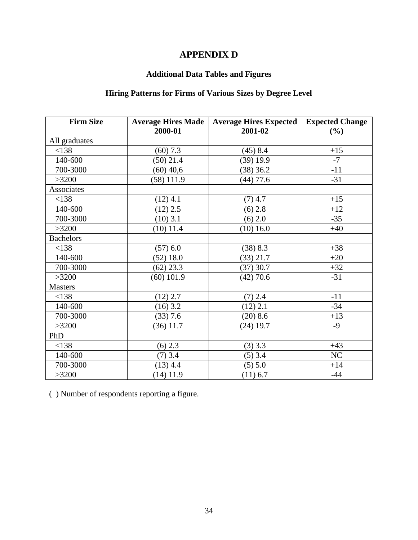# **APPENDIX D**

# **Additional Data Tables and Figures**

# **Hiring Patterns for Firms of Various Sizes by Degree Level**

| <b>Firm Size</b> | <b>Average Hires Made</b> | <b>Average Hires Expected</b> | <b>Expected Change</b> |
|------------------|---------------------------|-------------------------------|------------------------|
|                  | 2000-01                   | 2001-02                       | (%)                    |
| All graduates    |                           |                               |                        |
| < 138            | $(60)$ 7.3                | $(45)$ 8.4                    | $+15$                  |
| 140-600          | $(50)$ 21.4               | $(39)$ 19.9                   | $-7$                   |
| 700-3000         | $(60)$ 40,6               | $(38)$ 36.2                   | $-11$                  |
| >3200            | $(58)$ 111.9              | $(44)$ 77.6                   | $-31$                  |
| Associates       |                           |                               |                        |
| <138             | $(12)$ 4.1                | $(7)$ 4.7                     | $+15$                  |
| 140-600          | $(12)$ 2.5                | $(6)$ 2.8                     | $+12$                  |
| 700-3000         | $(10)$ 3.1                | (6) 2.0                       | $-35$                  |
| >3200            | $(10)$ 11.4               | (10) 16.0                     | $+40$                  |
| <b>Bachelors</b> |                           |                               |                        |
| < 138            | (57) 6.0                  | (38) 8.3                      | $+38$                  |
| 140-600          | $(52)$ 18.0               | (33) 21.7                     | $+20$                  |
| 700-3000         | $(62)$ 23.3               | $(37)$ 30.7                   | $+32$                  |
| >3200            | $(60)$ 101.9              | $(42)$ 70.6                   | $-31$                  |
| <b>Masters</b>   |                           |                               |                        |
| < 138            | $(12)$ 2.7                | $(7)$ 2.4                     | $-11$                  |
| 140-600          | $(16)$ 3.2                | $(12)$ 2.1                    | $-34$                  |
| 700-3000         | (33) 7.6                  | (20) 8.6                      | $+13$                  |
| >3200            | $(36)$ 11.7               | $(24)$ 19.7                   | $-9$                   |
| PhD              |                           |                               |                        |
| < 138            | $(6)$ 2.3                 | $(3)$ 3.3                     | $+43$                  |
| 140-600          | $(7)$ 3.4                 | $(5)$ 3.4                     | NC                     |
| 700-3000         | $(13)$ 4.4                | (5) 5.0                       | $+14$                  |
| >3200            | $(14)$ 11.9               | $(11)$ 6.7                    | $-44$                  |

( ) Number of respondents reporting a figure.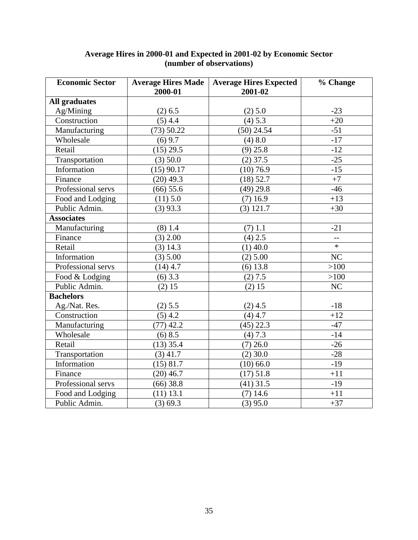| <b>Economic Sector</b> | <b>Average Hires Made</b><br>2000-01 | <b>Average Hires Expected</b><br>2001-02 | % Change       |
|------------------------|--------------------------------------|------------------------------------------|----------------|
| <b>All graduates</b>   |                                      |                                          |                |
| Ag/Mining              | $(2)$ 6.5                            | (2) 5.0                                  | $-23$          |
| Construction           | $(5)$ 4.4                            | (4) 5.3                                  | $+20$          |
| Manufacturing          | (73) 50.22                           | $(50)$ 24.54                             | $-51$          |
| Wholesale              | $(6)$ 9.7                            | (4) 8.0                                  | $-17$          |
| Retail                 | $(15)$ 29.5                          | $(9)$ 25.8                               | $-12$          |
| Transportation         | $(3)$ 50.0                           | $(2)$ 37.5                               | $-25$          |
| Information            | $(15)$ 90.17                         | $(10)$ 76.9                              | $-15$          |
| Finance                | $(20)$ 49.3                          | $(18)$ 52.7                              | $+7$           |
| Professional servs     | $(66)$ 55.6                          | $(49)$ 29.8                              | $-46$          |
| Food and Lodging       | (11) 5.0                             | $(7)$ 16.9                               | $+13$          |
| Public Admin.          | $(3)$ 93.3                           | $(3)$ 121.7                              | $+30$          |
| <b>Associates</b>      |                                      |                                          |                |
| Manufacturing          | $(8)$ 1.4                            | $(7)$ 1.1                                | $-21$          |
| Finance                | $(3)$ 2.00                           | $(4)$ 2.5                                | $\overline{a}$ |
| Retail                 | $(3)$ 14.3                           | $(1)$ 40.0                               | $\ast$         |
| Information            | (3) 5.00                             | $(2)$ 5.00                               | NC             |
| Professional servs     | $(14)$ 4.7                           | $(6)$ 13.8                               | >100           |
| Food & Lodging         | $(6)$ 3.3                            | (2) 7.5                                  | >100           |
| Public Admin.          | (2) 15                               | (2) 15                                   | NC             |
| <b>Bachelors</b>       |                                      |                                          |                |
| Ag./Nat. Res.          | (2) 5.5                              | $(2)$ 4.5                                | $-18$          |
| Construction           | $(5)$ 4.2                            | $(4)$ 4.7                                | $+12$          |
| Manufacturing          | $(77)$ 42.2                          | $(45)$ 22.3                              | $-47$          |
| Wholesale              | $(6)$ 8.5                            | (4) 7.3                                  | $-14$          |
| Retail                 | $(13)$ 35.4                          | $(7)$ 26.0                               | $-26$          |
| Transportation         | $(3)$ 41.7                           | $(2)$ 30.0                               | $-28$          |
| Information            | $(15)$ 81.7                          | $(10)$ 66.0                              | $-19$          |
| Finance                | $(20)$ 46.7                          | (17) 51.8                                | $+11$          |
| Professional servs     | $(66)$ 38.8                          | $(41)$ 31.5                              | $-19$          |
| Food and Lodging       | $(11)$ 13.1                          | $(7)$ 14.6                               | $+11$          |
| Public Admin.          | (3) 69.3                             | $(3)$ 95.0                               | $+37$          |

#### **Average Hires in 2000-01 and Expected in 2001-02 by Economic Sector (number of observations)**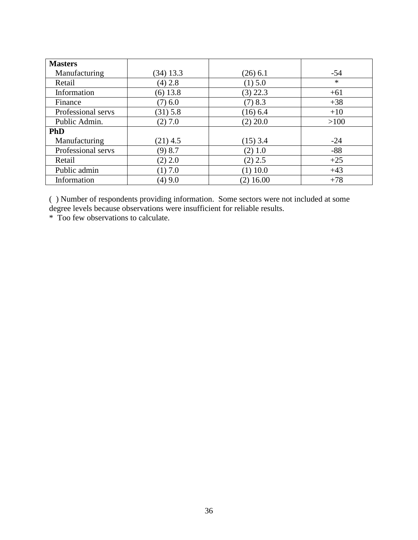| <b>Masters</b>     |             |             |        |
|--------------------|-------------|-------------|--------|
| Manufacturing      | $(34)$ 13.3 | $(26)$ 6.1  | $-54$  |
| Retail             | $(4)$ 2.8   | (1) 5.0     | $\ast$ |
| Information        | $(6)$ 13.8  | $(3)$ 22.3  | $+61$  |
| Finance            | $(7)$ 6.0   | $(7)$ 8.3   | $+38$  |
| Professional servs | $(31)$ 5.8  | $(16)$ 6.4  | $+10$  |
| Public Admin.      | (2) 7.0     | $(2)$ 20.0  | >100   |
| <b>PhD</b>         |             |             |        |
| Manufacturing      | $(21)$ 4.5  | $(15)$ 3.4  | $-24$  |
| Professional servs | (9) 8.7     | $(2)$ 1.0   | $-88$  |
| Retail             | (2) 2.0     | $(2)$ 2.5   | $+25$  |
| Public admin       | (1) 7.0     | $(1)$ 10.0  | $+43$  |
| Information        | $(4)$ 9.0   | $(2)$ 16.00 | $+78$  |

( ) Number of respondents providing information. Some sectors were not included at some degree levels because observations were insufficient for reliable results.

\* Too few observations to calculate.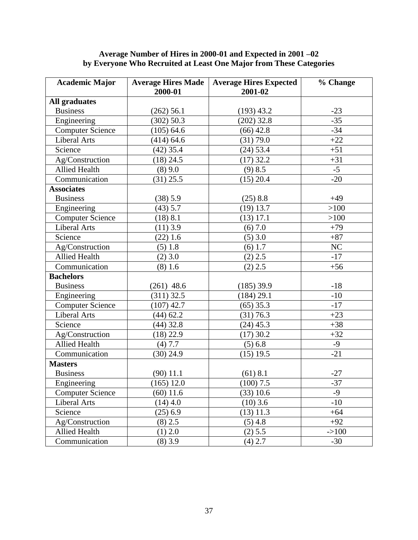#### **Average Number of Hires in 2000-01 and Expected in 2001 –02 by Everyone Who Recruited at Least One Major from These Categories**

| <b>Academic Major</b>   | <b>Average Hires Made</b><br>2000-01 | <b>Average Hires Expected</b><br>2001-02 | % Change |
|-------------------------|--------------------------------------|------------------------------------------|----------|
| All graduates           |                                      |                                          |          |
| <b>Business</b>         | $(262)$ 56.1                         | $(193)$ 43.2                             | $-23$    |
| Engineering             | (302) 50.3                           | $(202)$ 32.8                             | $-35$    |
| <b>Computer Science</b> | $(105)$ 64.6                         | $(66)$ 42.8                              | $-34$    |
| Liberal Arts            | $(414)$ 64.6                         | (31) 79.0                                | $+22$    |
| Science                 | $(42)$ 35.4                          | $(24)$ 53.4                              | $+51$    |
| Ag/Construction         | $(18)$ 24.5                          | $(17)$ 32.2                              | $+31$    |
| <b>Allied Health</b>    | $(8)$ 9.0                            | $(9)$ 8.5                                | $-5$     |
| Communication           | $(31)$ 25.5                          | $(15)$ 20.4                              | $-20$    |
| <b>Associates</b>       |                                      |                                          |          |
| <b>Business</b>         | (38) 5.9                             | $(25)$ 8.8                               | $+49$    |
| Engineering             | $(43)$ 5.7                           | $(19)$ 13.7                              | >100     |
| <b>Computer Science</b> | (18) 8.1                             | $(13)$ 17.1                              | >100     |
| <b>Liberal Arts</b>     | $(11)$ 3.9                           | (6) 7.0                                  | $+79$    |
| Science                 | $(22)$ 1.6                           | $(5)$ 3.0                                | $+87$    |
| Ag/Construction         | (5) 1.8                              | $(6)$ 1.7                                | NC       |
| <b>Allied Health</b>    | $(2)$ 3.0                            | $(2)$ 2.5                                | $-17$    |
| Communication           | (8) 1.6                              | $(2)$ 2.5                                | $+56$    |
| <b>Bachelors</b>        |                                      |                                          |          |
| <b>Business</b>         | $(261)$ 48.6                         | $(185)$ 39.9                             | $-18$    |
| Engineering             | $(311)$ 32.5                         | (184) 29.1                               | $-10$    |
| <b>Computer Science</b> | $(107)$ 42.7                         | $(65)$ 35.3                              | $-17$    |
| <b>Liberal Arts</b>     | $(44)$ 62.2                          | (31) 76.3                                | $+23$    |
| Science                 | $(44)$ 32.8                          | $(24)$ 45.3                              | $+38$    |
| Ag/Construction         | $(18)$ 22.9                          | $(17)$ 30.2                              | $+32$    |
| <b>Allied Health</b>    | (4) 7.7                              | (5) 6.8                                  | $-9$     |
| Communication           | $(30)$ 24.9                          | $(15)$ 19.5                              | $-21$    |
| <b>Masters</b>          |                                      |                                          |          |
| <b>Business</b>         | $(90)$ 11.1                          | $(61)$ 8.1                               | $-27$    |
| Engineering             | $(165)$ 12.0                         | $(100)$ 7.5                              | $-37$    |
| <b>Computer Science</b> | $(60)$ 11.6                          | (33) 10.6                                | $-9$     |
| <b>Liberal Arts</b>     | $(14)$ 4.0                           | $(10)$ 3.6                               | $-10$    |
| Science                 | $(25)$ 6.9                           | $(13)$ 11.3                              | $+64$    |
| Ag/Construction         | $(8)$ 2.5                            | $(5)$ 4.8                                | $+92$    |
| <b>Allied Health</b>    | $(1)$ 2.0                            | (2) 5.5                                  | $->100$  |
| Communication           | $(8)$ 3.9                            | $(4)$ 2.7                                | $-30$    |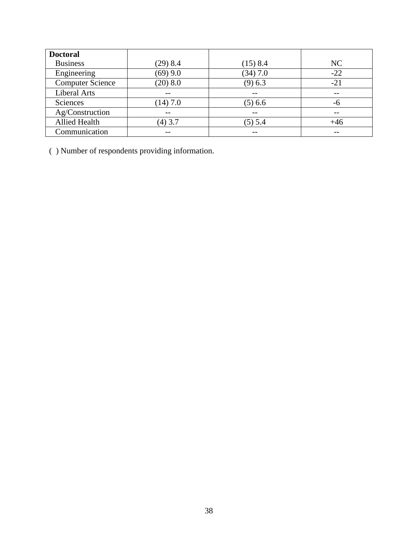| <b>Doctoral</b>         |            |            |       |
|-------------------------|------------|------------|-------|
| <b>Business</b>         | $(29)$ 8.4 | $(15)$ 8.4 | NC    |
| Engineering             | $(69)$ 9.0 | $(34)$ 7.0 | $-22$ |
| <b>Computer Science</b> | (20) 8.0   | (9) 6.3    | $-21$ |
| Liberal Arts            |            |            | $- -$ |
| Sciences                | $(14)$ 7.0 | $(5)$ 6.6  | -6    |
| Ag/Construction         |            |            | $ -$  |
| Allied Health           | $(4)$ 3.7  | $(5)$ 5.4  | $+46$ |
| Communication           |            |            |       |

( ) Number of respondents providing information.